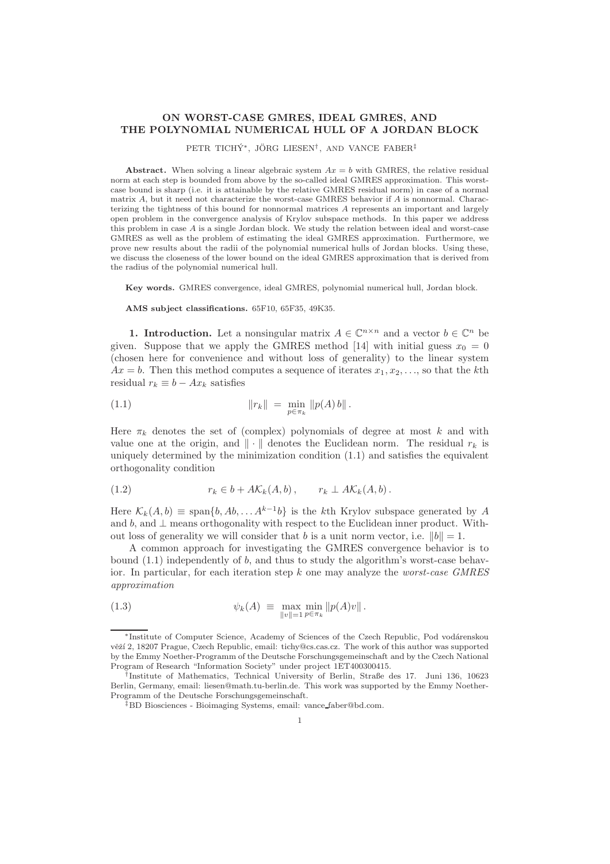## ON WORST-CASE GMRES, IDEAL GMRES, AND THE POLYNOMIAL NUMERICAL HULL OF A JORDAN BLOCK

PETR TICHÝ\*, JÖRG LIESEN<sup>†</sup>, AND VANCE FABER<sup>‡</sup>

Abstract. When solving a linear algebraic system  $Ax = b$  with GMRES, the relative residual norm at each step is bounded from above by the so-called ideal GMRES approximation. This worstcase bound is sharp (i.e. it is attainable by the relative GMRES residual norm) in case of a normal matrix A, but it need not characterize the worst-case GMRES behavior if A is nonnormal. Characterizing the tightness of this bound for nonnormal matrices A represents an important and largely open problem in the convergence analysis of Krylov subspace methods. In this paper we address this problem in case  $A$  is a single Jordan block. We study the relation between ideal and worst-case GMRES as well as the problem of estimating the ideal GMRES approximation. Furthermore, we prove new results about the radii of the polynomial numerical hulls of Jordan blocks. Using these, we discuss the closeness of the lower bound on the ideal GMRES approximation that is derived from the radius of the polynomial numerical hull.

Key words. GMRES convergence, ideal GMRES, polynomial numerical hull, Jordan block.

AMS subject classifications. 65F10, 65F35, 49K35.

**1. Introduction.** Let a nonsingular matrix  $A \in \mathbb{C}^{n \times n}$  and a vector  $b \in \mathbb{C}^n$  be given. Suppose that we apply the GMRES method [14] with initial guess  $x_0 = 0$ (chosen here for convenience and without loss of generality) to the linear system  $Ax = b$ . Then this method computes a sequence of iterates  $x_1, x_2, \ldots$ , so that the kth residual  $r_k \equiv b - Ax_k$  satisfies

(1.1) 
$$
\|r_k\| = \min_{p \in \pi_k} \|p(A) b\|.
$$

Here  $\pi_k$  denotes the set of (complex) polynomials of degree at most k and with value one at the origin, and  $\|\cdot\|$  denotes the Euclidean norm. The residual  $r_k$  is uniquely determined by the minimization condition (1.1) and satisfies the equivalent orthogonality condition

$$
(1.2) \t\t r_k \in b + A\mathcal{K}_k(A,b), \t r_k \perp A\mathcal{K}_k(A,b).
$$

Here  $\mathcal{K}_k(A,b) \equiv \text{span}\{b, Ab, \ldots A^{k-1}b\}$  is the kth Krylov subspace generated by A and b, and  $\perp$  means orthogonality with respect to the Euclidean inner product. Without loss of generality we will consider that b is a unit norm vector, i.e.  $||b|| = 1$ .

A common approach for investigating the GMRES convergence behavior is to bound  $(1.1)$  independently of b, and thus to study the algorithm's worst-case behavior. In particular, for each iteration step k one may analyze the worst-case GMRES approximation

(1.3) 
$$
\psi_k(A) \equiv \max_{\|v\|=1} \min_{p \in \pi_k} \|p(A)v\|.
$$

<sup>∗</sup>Institute of Computer Science, Academy of Sciences of the Czech Republic, Pod vod´arenskou věží 2, 18207 Prague, Czech Republic, email: tichy@cs.cas.cz. The work of this author was supported by the Emmy Noether-Programm of the Deutsche Forschungsgemeinschaft and by the Czech National Program of Research "Information Society" under project 1ET400300415.

<sup>†</sup> Institute of Mathematics, Technical University of Berlin, Straße des 17. Juni 136, 10623 Berlin, Germany, email: liesen@math.tu-berlin.de. This work was supported by the Emmy Noether-Programm of the Deutsche Forschungsgemeinschaft.

<sup>‡</sup>BD Biosciences - Bioimaging Systems, email: vance faber@bd.com.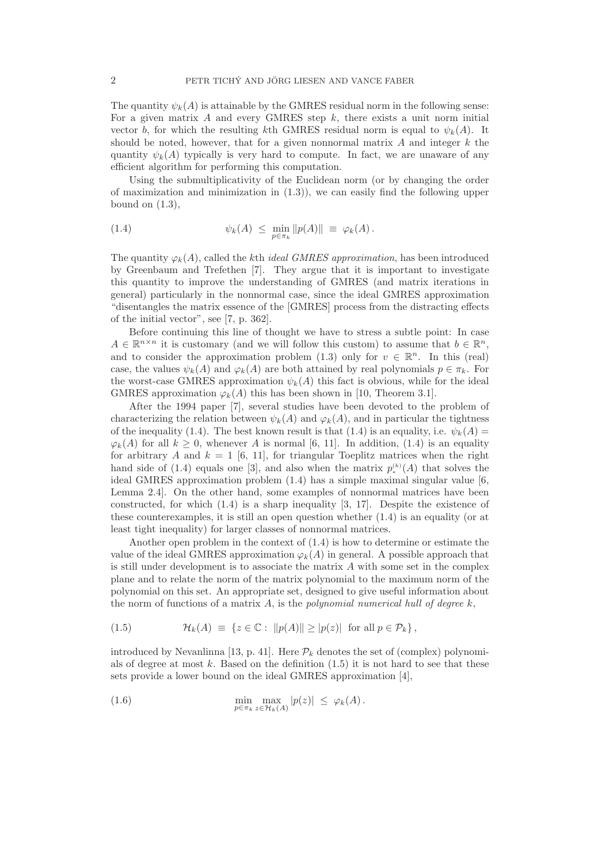The quantity  $\psi_k(A)$  is attainable by the GMRES residual norm in the following sense: For a given matrix  $A$  and every GMRES step  $k$ , there exists a unit norm initial vector b, for which the resulting kth GMRES residual norm is equal to  $\psi_k(A)$ . It should be noted, however, that for a given nonnormal matrix  $A$  and integer  $k$  the quantity  $\psi_k(A)$  typically is very hard to compute. In fact, we are unaware of any efficient algorithm for performing this computation.

Using the submultiplicativity of the Euclidean norm (or by changing the order of maximization and minimization in  $(1.3)$ , we can easily find the following upper bound on  $(1.3)$ ,

(1.4) 
$$
\psi_k(A) \leq \min_{p \in \pi_k} ||p(A)|| \equiv \varphi_k(A).
$$

The quantity  $\varphi_k(A)$ , called the kth *ideal GMRES approximation*, has been introduced by Greenbaum and Trefethen [7]. They argue that it is important to investigate this quantity to improve the understanding of GMRES (and matrix iterations in general) particularly in the nonnormal case, since the ideal GMRES approximation "disentangles the matrix essence of the [GMRES] process from the distracting effects of the initial vector", see [7, p. 362].

Before continuing this line of thought we have to stress a subtle point: In case  $A \in \mathbb{R}^{n \times n}$  it is customary (and we will follow this custom) to assume that  $b \in \mathbb{R}^n$ , and to consider the approximation problem (1.3) only for  $v \in \mathbb{R}^n$ . In this (real) case, the values  $\psi_k(A)$  and  $\varphi_k(A)$  are both attained by real polynomials  $p \in \pi_k$ . For the worst-case GMRES approximation  $\psi_k(A)$  this fact is obvious, while for the ideal GMRES approximation  $\varphi_k(A)$  this has been shown in [10, Theorem 3.1].

After the 1994 paper [7], several studies have been devoted to the problem of characterizing the relation between  $\psi_k(A)$  and  $\varphi_k(A)$ , and in particular the tightness of the inequality (1.4). The best known result is that (1.4) is an equality, i.e.  $\psi_k(A)$  =  $\varphi_k(A)$  for all  $k \geq 0$ , whenever A is normal [6, 11]. In addition, (1.4) is an equality for arbitrary A and  $k = 1$  [6, 11], for triangular Toeplitz matrices when the right hand side of  $(1.4)$  equals one [3], and also when the matrix  $p_*^{(k)}(A)$  that solves the ideal GMRES approximation problem (1.4) has a simple maximal singular value [6, Lemma 2.4]. On the other hand, some examples of nonnormal matrices have been constructed, for which (1.4) is a sharp inequality [3, 17]. Despite the existence of these counterexamples, it is still an open question whether (1.4) is an equality (or at least tight inequality) for larger classes of nonnormal matrices.

Another open problem in the context of (1.4) is how to determine or estimate the value of the ideal GMRES approximation  $\varphi_k(A)$  in general. A possible approach that is still under development is to associate the matrix  $A$  with some set in the complex plane and to relate the norm of the matrix polynomial to the maximum norm of the polynomial on this set. An appropriate set, designed to give useful information about the norm of functions of a matrix A, is the polynomial numerical hull of degree  $k$ ,

(1.5) 
$$
\mathcal{H}_k(A) \equiv \{z \in \mathbb{C} : ||p(A)|| \ge |p(z)| \text{ for all } p \in \mathcal{P}_k\},
$$

introduced by Nevanlinna [13, p. 41]. Here  $\mathcal{P}_k$  denotes the set of (complex) polynomials of degree at most k. Based on the definition  $(1.5)$  it is not hard to see that these sets provide a lower bound on the ideal GMRES approximation [4],

(1.6) 
$$
\min_{p \in \pi_k} \max_{z \in \mathcal{H}_k(A)} |p(z)| \leq \varphi_k(A).
$$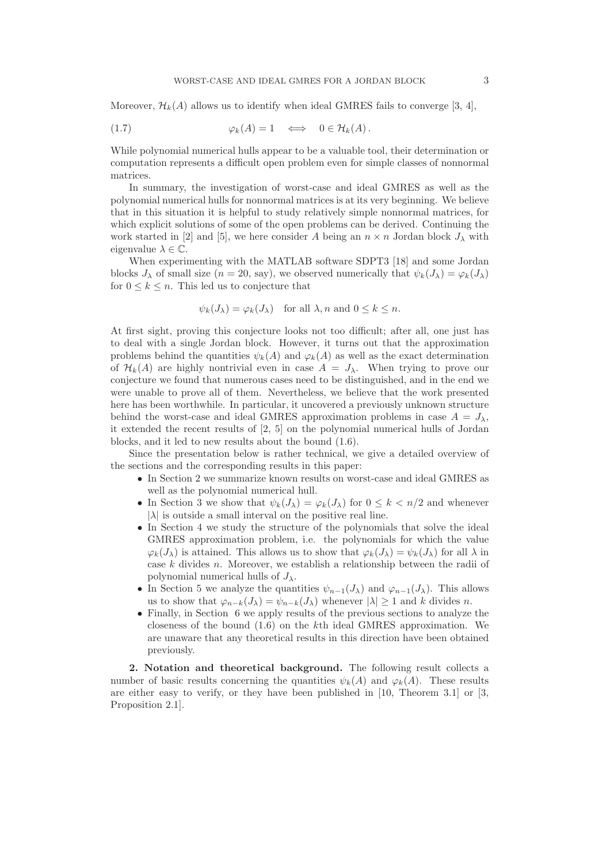Moreover,  $\mathcal{H}_k(A)$  allows us to identify when ideal GMRES fails to converge [3, 4],

$$
\varphi_k(A) = 1 \quad \Longleftrightarrow \quad 0 \in \mathcal{H}_k(A).
$$

While polynomial numerical hulls appear to be a valuable tool, their determination or computation represents a difficult open problem even for simple classes of nonnormal matrices.

In summary, the investigation of worst-case and ideal GMRES as well as the polynomial numerical hulls for nonnormal matrices is at its very beginning. We believe that in this situation it is helpful to study relatively simple nonnormal matrices, for which explicit solutions of some of the open problems can be derived. Continuing the work started in [2] and [5], we here consider A being an  $n \times n$  Jordan block  $J_{\lambda}$  with eigenvalue  $\lambda \in \mathbb{C}$ .

When experimenting with the MATLAB software SDPT3 [18] and some Jordan blocks  $J_\lambda$  of small size  $(n = 20, \text{ say})$ , we observed numerically that  $\psi_k(J_\lambda) = \varphi_k(J_\lambda)$ for  $0 \leq k \leq n$ . This led us to conjecture that

$$
\psi_k(J_\lambda) = \varphi_k(J_\lambda)
$$
 for all  $\lambda, n$  and  $0 \le k \le n$ .

At first sight, proving this conjecture looks not too difficult; after all, one just has to deal with a single Jordan block. However, it turns out that the approximation problems behind the quantities  $\psi_k(A)$  and  $\varphi_k(A)$  as well as the exact determination of  $\mathcal{H}_k(A)$  are highly nontrivial even in case  $A = J_\lambda$ . When trying to prove our conjecture we found that numerous cases need to be distinguished, and in the end we were unable to prove all of them. Nevertheless, we believe that the work presented here has been worthwhile. In particular, it uncovered a previously unknown structure behind the worst-case and ideal GMRES approximation problems in case  $A = J_{\lambda}$ , it extended the recent results of [2, 5] on the polynomial numerical hulls of Jordan blocks, and it led to new results about the bound (1.6).

Since the presentation below is rather technical, we give a detailed overview of the sections and the corresponding results in this paper:

- In Section 2 we summarize known results on worst-case and ideal GMRES as well as the polynomial numerical hull.
- In Section 3 we show that  $\psi_k(J_\lambda) = \varphi_k(J_\lambda)$  for  $0 \leq k \leq n/2$  and whenever  $|\lambda|$  is outside a small interval on the positive real line.
- In Section 4 we study the structure of the polynomials that solve the ideal GMRES approximation problem, i.e. the polynomials for which the value  $\varphi_k(J_\lambda)$  is attained. This allows us to show that  $\varphi_k(J_\lambda) = \psi_k(J_\lambda)$  for all  $\lambda$  in case k divides n. Moreover, we establish a relationship between the radii of polynomial numerical hulls of  $J_{\lambda}$ .
- In Section 5 we analyze the quantities  $\psi_{n-1}(J_\lambda)$  and  $\varphi_{n-1}(J_\lambda)$ . This allows us to show that  $\varphi_{n-k}(J_\lambda) = \psi_{n-k}(J_\lambda)$  whenever  $|\lambda| > 1$  and k divides n.
- Finally, in Section 6 we apply results of the previous sections to analyze the closeness of the bound (1.6) on the kth ideal GMRES approximation. We are unaware that any theoretical results in this direction have been obtained previously.

2. Notation and theoretical background. The following result collects a number of basic results concerning the quantities  $\psi_k(A)$  and  $\varphi_k(A)$ . These results are either easy to verify, or they have been published in [10, Theorem 3.1] or [3, Proposition 2.1].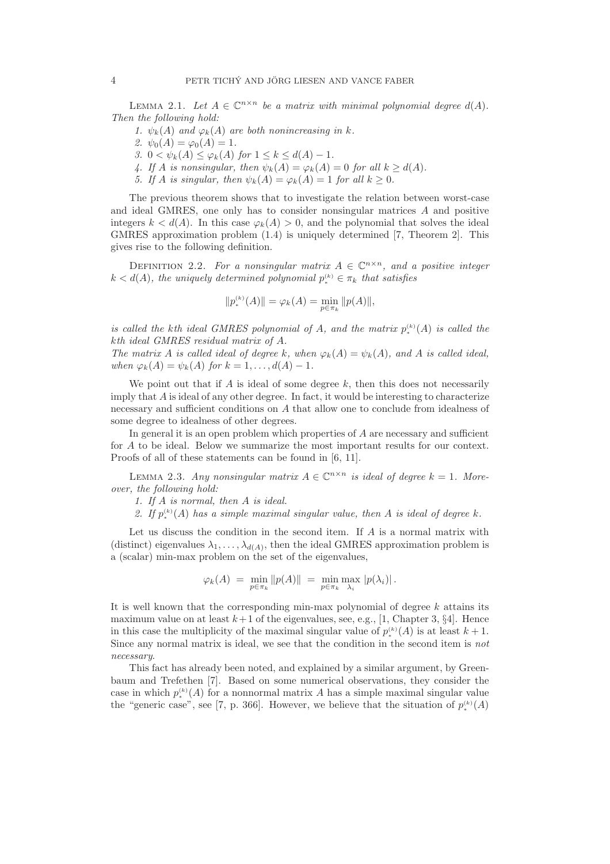LEMMA 2.1. Let  $A \in \mathbb{C}^{n \times n}$  be a matrix with minimal polynomial degree  $d(A)$ . Then the following hold:

- 1.  $\psi_k(A)$  and  $\varphi_k(A)$  are both nonincreasing in k.
- 2.  $\psi_0(A) = \varphi_0(A) = 1$ .
- 3.  $0 < \psi_k(A) \leq \varphi_k(A)$  for  $1 \leq k \leq d(A) 1$ .
- 4. If A is nonsingular, then  $\psi_k(A) = \varphi_k(A) = 0$  for all  $k \geq d(A)$ .
- 5. If A is singular, then  $\psi_k(A) = \varphi_k(A) = 1$  for all  $k \geq 0$ .

The previous theorem shows that to investigate the relation between worst-case and ideal GMRES, one only has to consider nonsingular matrices A and positive integers  $k < d(A)$ . In this case  $\varphi_k(A) > 0$ , and the polynomial that solves the ideal GMRES approximation problem (1.4) is uniquely determined [7, Theorem 2]. This gives rise to the following definition.

DEFINITION 2.2. For a nonsingular matrix  $A \in \mathbb{C}^{n \times n}$ , and a positive integer  $k < d(A)$ , the uniquely determined polynomial  $p_*^{(k)} \in \pi_k$  that satisfies

$$
||p_*^{(k)}(A)|| = \varphi_k(A) = \min_{p \in \pi_k} ||p(A)||,
$$

is called the kth ideal GMRES polynomial of A, and the matrix  $p_*^{(k)}(A)$  is called the kth ideal GMRES residual matrix of A.

The matrix A is called ideal of degree k, when  $\varphi_k(A) = \psi_k(A)$ , and A is called ideal, when  $\varphi_k(A) = \psi_k(A)$  for  $k = 1, \ldots, d(A) - 1$ .

We point out that if  $A$  is ideal of some degree  $k$ , then this does not necessarily imply that A is ideal of any other degree. In fact, it would be interesting to characterize necessary and sufficient conditions on A that allow one to conclude from idealness of some degree to idealness of other degrees.

In general it is an open problem which properties of A are necessary and sufficient for A to be ideal. Below we summarize the most important results for our context. Proofs of all of these statements can be found in [6, 11].

LEMMA 2.3. Any nonsingular matrix  $A \in \mathbb{C}^{n \times n}$  is ideal of degree  $k = 1$ . Moreover, the following hold:

- 1. If A is normal, then A is ideal.
- 2. If  $p_*^{(k)}(A)$  has a simple maximal singular value, then A is ideal of degree k.

Let us discuss the condition in the second item. If  $A$  is a normal matrix with (distinct) eigenvalues  $\lambda_1, \ldots, \lambda_{d(A)}$ , then the ideal GMRES approximation problem is a (scalar) min-max problem on the set of the eigenvalues,

$$
\varphi_k(A) = \min_{p \in \pi_k} \|p(A)\| = \min_{p \in \pi_k} \max_{\lambda_i} |p(\lambda_i)|.
$$

It is well known that the corresponding min-max polynomial of degree  $k$  attains its maximum value on at least  $k+1$  of the eigenvalues, see, e.g., [1, Chapter 3, §4]. Hence in this case the multiplicity of the maximal singular value of  $p_*^{(k)}(A)$  is at least  $k+1$ . Since any normal matrix is ideal, we see that the condition in the second item is not necessary.

This fact has already been noted, and explained by a similar argument, by Greenbaum and Trefethen [7]. Based on some numerical observations, they consider the case in which  $p_*^{(k)}(A)$  for a nonnormal matrix A has a simple maximal singular value the "generic case", see [7, p. 366]. However, we believe that the situation of  $p_*^{(k)}(A)$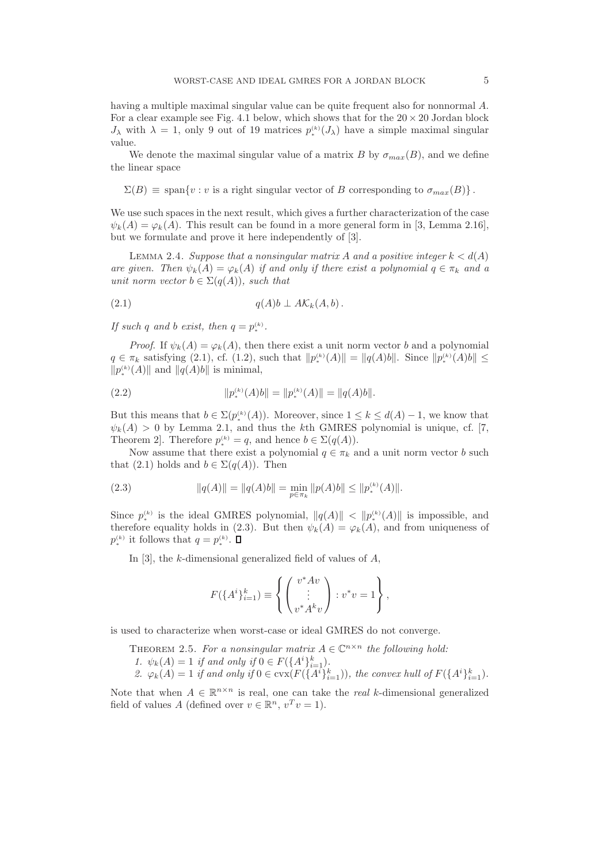having a multiple maximal singular value can be quite frequent also for nonnormal A. For a clear example see Fig. 4.1 below, which shows that for the  $20 \times 20$  Jordan block  $J_{\lambda}$  with  $\lambda = 1$ , only 9 out of 19 matrices  $p_*^{(k)}(J_{\lambda})$  have a simple maximal singular value.

We denote the maximal singular value of a matrix B by  $\sigma_{max}(B)$ , and we define the linear space

 $\Sigma(B) \equiv \text{span}\{v : v \text{ is a right singular vector of } B \text{ corresponding to } \sigma_{max}(B) \}.$ 

We use such spaces in the next result, which gives a further characterization of the case  $\psi_k(A) = \varphi_k(A)$ . This result can be found in a more general form in [3, Lemma 2.16], but we formulate and prove it here independently of [3].

LEMMA 2.4. Suppose that a nonsingular matrix A and a positive integer  $k < d(A)$ are given. Then  $\psi_k(A) = \varphi_k(A)$  if and only if there exist a polynomial  $q \in \pi_k$  and a unit norm vector  $b \in \Sigma(q(A))$ , such that

$$
(2.1) \t\t q(A)b \perp A\mathcal{K}_k(A,b).
$$

If such q and b exist, then  $q = p_*^{(k)}$ .

*Proof.* If  $\psi_k(A) = \varphi_k(A)$ , then there exist a unit norm vector b and a polynomial  $q \in \pi_k$  satisfying (2.1), cf. (1.2), such that  $||p_*^{(k)}(A)|| = ||q(A)b||$ . Since  $||p_*^{(k)}(A)b|| \le$  $\|p_{\ast}^{(k)}(A)\|$  and  $\|q(A)b\|$  is minimal,

(2.2) 
$$
||p_*^{(k)}(A)b|| = ||p_*^{(k)}(A)|| = ||q(A)b||.
$$

But this means that  $b \in \Sigma(p_*^{(k)}(A))$ . Moreover, since  $1 \leq k \leq d(A) - 1$ , we know that  $\psi_k(A) > 0$  by Lemma 2.1, and thus the kth GMRES polynomial is unique, cf. [7, Theorem 2]. Therefore  $p_{\ast}^{(k)} = q$ , and hence  $b \in \Sigma(q(A)).$ 

Now assume that there exist a polynomial  $q \in \pi_k$  and a unit norm vector b such that (2.1) holds and  $b \in \Sigma(q(A))$ . Then

(2.3) 
$$
||q(A)|| = ||q(A)b|| = \min_{p \in \pi_k} ||p(A)b|| \le ||p_*^{(k)}(A)||.
$$

Since  $p_*^{(k)}$  is the ideal GMRES polynomial,  $||q(A)|| < ||p_*^{(k)}(A)||$  is impossible, and therefore equality holds in (2.3). But then  $\psi_k(A) = \varphi_k(A)$ , and from uniqueness of  $p_*^{(k)}$  it follows that  $q=p_*^{(k)}$ .

In [3], the k-dimensional generalized field of values of  $A$ .

$$
F(\lbrace A^i \rbrace_{i=1}^k) \equiv \left\{ \begin{pmatrix} v^*Av \\ \vdots \\ v^*A^k v \end{pmatrix} : v^*v = 1 \right\},\,
$$

is used to characterize when worst-case or ideal GMRES do not converge.

THEOREM 2.5. For a nonsingular matrix 
$$
A \in \mathbb{C}^{n \times n}
$$
 the following hold:  
1.  $\psi_k(A) = 1$  if and only if  $0 \in F(\{A^i\}_{i=1}^k)$ .  
2.  $\varphi_k(A) = 1$  if and only if  $0 \in \text{cvx}(F(\{A^i\}_{i=1}^k))$ , the convex hull of  $F(\{A^i\}_{i=1}^k)$ .

Note that when  $A \in \mathbb{R}^{n \times n}$  is real, one can take the *real* k-dimensional generalized field of values A (defined over  $v \in \mathbb{R}^n$ ,  $v^T v = 1$ ).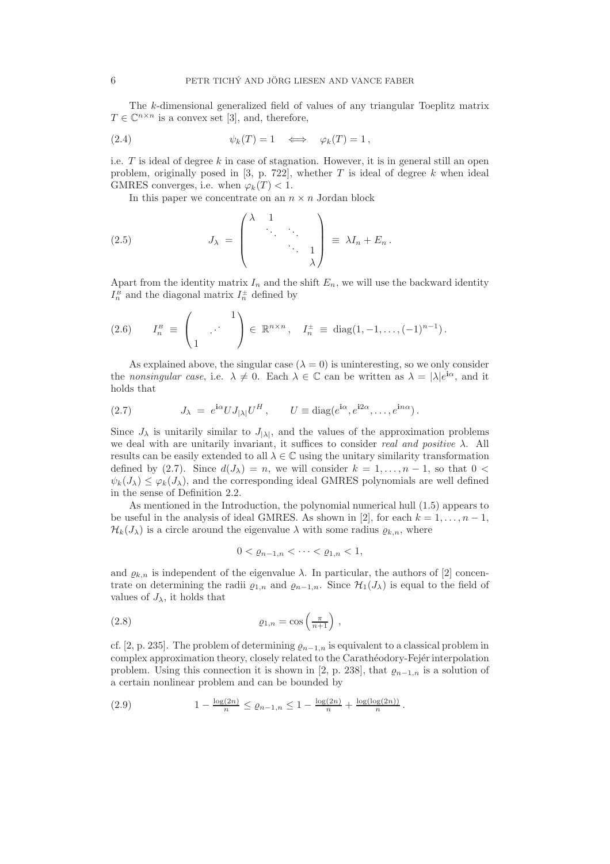The k-dimensional generalized field of values of any triangular Toeplitz matrix  $T \in \mathbb{C}^{n \times n}$  is a convex set [3], and, therefore,

(2.4) 
$$
\psi_k(T) = 1 \iff \varphi_k(T) = 1,
$$

i.e.  $T$  is ideal of degree k in case of stagnation. However, it is in general still an open problem, originally posed in [3, p. 722], whether  $T$  is ideal of degree  $k$  when ideal GMRES converges, i.e. when  $\varphi_k(T) < 1$ .

In this paper we concentrate on an  $n \times n$  Jordan block

(2.5) 
$$
J_{\lambda} = \begin{pmatrix} \lambda & 1 & & \\ & \ddots & \ddots & \\ & & \ddots & 1 \\ & & & \lambda \end{pmatrix} \equiv \lambda I_n + E_n.
$$

Apart from the identity matrix  $I_n$  and the shift  $E_n$ , we will use the backward identity  $I_n^{\text{B}}$  and the diagonal matrix  $I_n^{\pm}$  defined by

$$
(2.6) \tI_n^B \equiv \begin{pmatrix} 1 \\ 1 \end{pmatrix} \in \mathbb{R}^{n \times n}, \tI_n^{\pm} \equiv \text{diag}(1, -1, \dots, (-1)^{n-1}).
$$

As explained above, the singular case  $(\lambda = 0)$  is uninteresting, so we only consider the nonsingular case, i.e.  $\lambda \neq 0$ . Each  $\lambda \in \mathbb{C}$  can be written as  $\lambda = |\lambda|e^{i\alpha}$ , and it holds that

(2.7) 
$$
J_{\lambda} = e^{i\alpha} U J_{|\lambda|} U^{H}, \qquad U \equiv \text{diag}(e^{i\alpha}, e^{i2\alpha}, \dots, e^{in\alpha}).
$$

Since  $J_{\lambda}$  is unitarily similar to  $J_{|\lambda|}$ , and the values of the approximation problems we deal with are unitarily invariant, it suffices to consider *real and positive*  $\lambda$ . All results can be easily extended to all  $\lambda \in \mathbb{C}$  using the unitary similarity transformation defined by (2.7). Since  $d(J_\lambda) = n$ , we will consider  $k = 1, \ldots, n-1$ , so that  $0 <$  $\psi_k(J_\lambda) \leq \varphi_k(J_\lambda)$ , and the corresponding ideal GMRES polynomials are well defined in the sense of Definition 2.2.

As mentioned in the Introduction, the polynomial numerical hull (1.5) appears to be useful in the analysis of ideal GMRES. As shown in [2], for each  $k = 1, \ldots, n-1$ ,  $\mathcal{H}_k(J_\lambda)$  is a circle around the eigenvalue  $\lambda$  with some radius  $\varrho_{k,n}$ , where

$$
0<\varrho_{n-1,n}<\cdots<\varrho_{1,n}<1,
$$

and  $\varrho_{k,n}$  is independent of the eigenvalue  $\lambda$ . In particular, the authors of [2] concentrate on determining the radii  $\varrho_{1,n}$  and  $\varrho_{n-1,n}$ . Since  $\mathcal{H}_1(J_\lambda)$  is equal to the field of values of  $J_{\lambda}$ , it holds that

$$
(2.8) \t\t\t\t\t\t\varrho_{1,n} = \cos\left(\frac{\pi}{n+1}\right),
$$

cf. [2, p. 235]. The problem of determining  $\varrho_{n-1,n}$  is equivalent to a classical problem in complex approximation theory, closely related to the Carathéodory-Fejér interpolation problem. Using this connection it is shown in [2, p. 238], that  $\varrho_{n-1,n}$  is a solution of a certain nonlinear problem and can be bounded by

(2.9) 
$$
1 - \frac{\log(2n)}{n} \le \varrho_{n-1,n} \le 1 - \frac{\log(2n)}{n} + \frac{\log(\log(2n))}{n}.
$$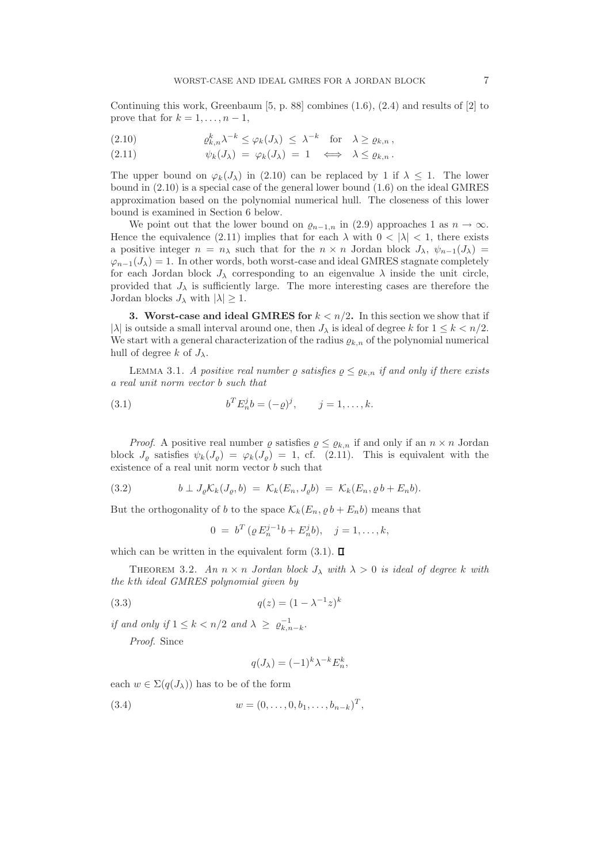Continuing this work, Greenbaum  $[5, p. 88]$  combines  $(1.6), (2.4)$  and results of  $[2]$  to prove that for  $k = 1, \ldots, n - 1$ ,

(2.10) 
$$
\varrho_{k,n}^k \lambda^{-k} \leq \varphi_k(J_\lambda) \leq \lambda^{-k} \text{ for } \lambda \geq \varrho_{k,n},
$$

(2.11) 
$$
\psi_k(J_\lambda) = \varphi_k(J_\lambda) = 1 \iff \lambda \leq \varrho_{k,n}.
$$

The upper bound on  $\varphi_k(J_\lambda)$  in (2.10) can be replaced by 1 if  $\lambda \leq 1$ . The lower bound in (2.10) is a special case of the general lower bound (1.6) on the ideal GMRES approximation based on the polynomial numerical hull. The closeness of this lower bound is examined in Section 6 below.

We point out that the lower bound on  $\varrho_{n-1,n}$  in (2.9) approaches 1 as  $n \to \infty$ . Hence the equivalence (2.11) implies that for each  $\lambda$  with  $0 < |\lambda| < 1$ , there exists a positive integer  $n = n_\lambda$  such that for the  $n \times n$  Jordan block  $J_\lambda$ ,  $\psi_{n-1}(J_\lambda)$  $\varphi_{n-1}(J_\lambda) = 1$ . In other words, both worst-case and ideal GMRES stagnate completely for each Jordan block  $J_{\lambda}$  corresponding to an eigenvalue  $\lambda$  inside the unit circle, provided that  $J_{\lambda}$  is sufficiently large. The more interesting cases are therefore the Jordan blocks  $J_{\lambda}$  with  $|\lambda| \geq 1$ .

3. Worst-case and ideal GMRES for  $k < n/2$ . In this section we show that if | $\lambda$ | is outside a small interval around one, then  $J_{\lambda}$  is ideal of degree k for  $1 \leq k \leq n/2$ . We start with a general characterization of the radius  $\varrho_{k,n}$  of the polynomial numerical hull of degree k of  $J_{\lambda}$ .

LEMMA 3.1. A positive real number  $\rho$  satisfies  $\rho \leq \rho_{k,n}$  if and only if there exists a real unit norm vector b such that

(3.1) 
$$
b^T E_n^j b = (-\varrho)^j, \qquad j = 1, ..., k.
$$

*Proof.* A positive real number  $\varrho$  satisfies  $\varrho \leq \varrho_{k,n}$  if and only if an  $n \times n$  Jordan block  $J_{\varrho}$  satisfies  $\psi_k(J_{\varrho}) = \varphi_k(J_{\varrho}) = 1$ , cf. (2.11). This is equivalent with the existence of a real unit norm vector b such that

(3.2) 
$$
b \perp J_{\varrho} \mathcal{K}_k(J_{\varrho}, b) = \mathcal{K}_k(E_n, J_{\varrho} b) = \mathcal{K}_k(E_n, \varrho b + E_n b).
$$

But the orthogonality of b to the space  $\mathcal{K}_k(E_n, \varrho b + E_n b)$  means that

$$
0 = b^T (\varrho E_n^{j-1} b + E_n^j b), \quad j = 1, ..., k,
$$

which can be written in the equivalent form  $(3.1)$ .  $\Box$ 

THEOREM 3.2. An  $n \times n$  Jordan block  $J_{\lambda}$  with  $\lambda > 0$  is ideal of degree k with the kth ideal GMRES polynomial given by

(3.3) 
$$
q(z) = (1 - \lambda^{-1} z)^k
$$

if and only if  $1 \leq k < n/2$  and  $\lambda \geq \varrho_{k,n-k}^{-1}$ .

Proof. Since

$$
q(J_{\lambda}) = (-1)^{k} \lambda^{-k} E_{n}^{k},
$$

each  $w \in \Sigma(q(J_{\lambda}))$  has to be of the form

(3.4) 
$$
w = (0, ..., 0, b_1, ..., b_{n-k})^T,
$$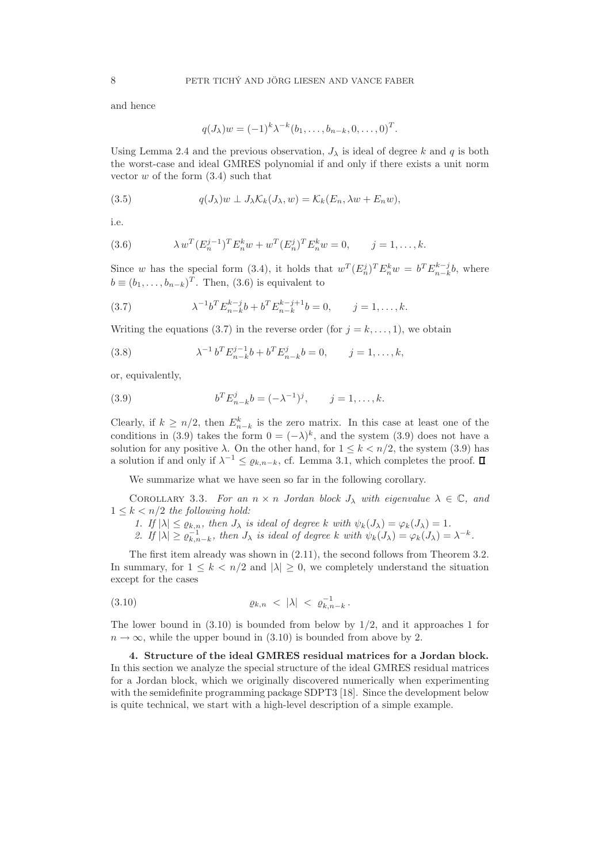and hence

$$
q(J_{\lambda})w = (-1)^{k} \lambda^{-k} (b_1, \ldots, b_{n-k}, 0, \ldots, 0)^{T}.
$$

Using Lemma 2.4 and the previous observation,  $J_{\lambda}$  is ideal of degree k and q is both the worst-case and ideal GMRES polynomial if and only if there exists a unit norm vector  $w$  of the form  $(3.4)$  such that

(3.5) 
$$
q(J_{\lambda})w \perp J_{\lambda} \mathcal{K}_k(J_{\lambda},w) = \mathcal{K}_k(E_n,\lambda w + E_n w),
$$

i.e.

(3.6) 
$$
\lambda w^T (E_n^{j-1})^T E_n^k w + w^T (E_n^j)^T E_n^k w = 0, \qquad j = 1, ..., k.
$$

Since w has the special form (3.4), it holds that  $w^T (E_n^j)^T E_n^k w = b^T E_{n-k}^{k-j} b$ , where  $b \equiv (b_1, \ldots, b_{n-k})^T$ . Then, (3.6) is equivalent to

(3.7) 
$$
\lambda^{-1}b^T E_{n-k}^{k-j} b + b^T E_{n-k}^{k-j+1} b = 0, \qquad j = 1, ..., k.
$$

Writing the equations (3.7) in the reverse order (for  $j = k, \ldots, 1$ ), we obtain

(3.8) 
$$
\lambda^{-1} b^T E_{n-k}^{j-1} b + b^T E_{n-k}^j b = 0, \qquad j = 1, ..., k,
$$

or, equivalently,

(3.9) 
$$
b^T E_{n-k}^j b = (-\lambda^{-1})^j, \qquad j = 1, ..., k.
$$

Clearly, if  $k \geq n/2$ , then  $E_{n-k}^k$  is the zero matrix. In this case at least one of the conditions in (3.9) takes the form  $0 = (-\lambda)^k$ , and the system (3.9) does not have a solution for any positive  $\lambda$ . On the other hand, for  $1 \leq k \leq n/2$ , the system (3.9) has a solution if and only if  $\lambda^{-1} \leq \varrho_{k,n-k}$ , cf. Lemma 3.1, which completes the proof.

We summarize what we have seen so far in the following corollary.

COROLLARY 3.3. For an  $n \times n$  Jordan block  $J_{\lambda}$  with eigenvalue  $\lambda \in \mathbb{C}$ , and  $1 \leq k < n/2$  the following hold:

- 1. If  $|\lambda| \leq \varrho_{k,n}$ , then  $J_\lambda$  is ideal of degree k with  $\psi_k(J_\lambda) = \varphi_k(J_\lambda) = 1$ .
- 2. If  $|\lambda| \ge \varrho_{k,n-k}^{-1}$ , then  $J_\lambda$  is ideal of degree k with  $\psi_k(J_\lambda) = \varphi_k(J_\lambda) = \lambda^{-k}$ .

The first item already was shown in (2.11), the second follows from Theorem 3.2. In summary, for  $1 \leq k \leq n/2$  and  $|\lambda| \geq 0$ , we completely understand the situation except for the cases

(3.10) 
$$
\varrho_{k,n} < |\lambda| < \varrho_{k,n-k}^{-1}.
$$

The lower bound in  $(3.10)$  is bounded from below by  $1/2$ , and it approaches 1 for  $n \to \infty$ , while the upper bound in (3.10) is bounded from above by 2.

4. Structure of the ideal GMRES residual matrices for a Jordan block. In this section we analyze the special structure of the ideal GMRES residual matrices for a Jordan block, which we originally discovered numerically when experimenting with the semidefinite programming package SDPT3 [18]. Since the development below is quite technical, we start with a high-level description of a simple example.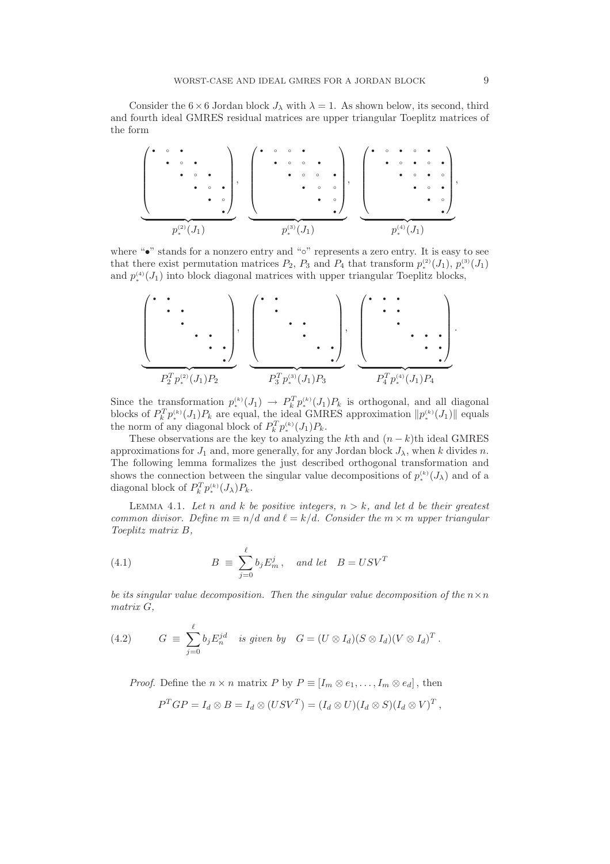Consider the 6  $\times$  6 Jordan block  $J_{\lambda}$  with  $\lambda = 1$ . As shown below, its second, third and fourth ideal GMRES residual matrices are upper triangular Toeplitz matrices of the form

 • ◦ • • ◦ • • ◦ • • ◦ • • ◦ • | {z } p (2) ∗ (J1) , • ◦ ◦ • • ◦ ◦ • • ◦ ◦ • • ◦ ◦ • ◦ • | {z } p (3) ∗ (J1) , • ◦ • ◦ • • ◦ • ◦ • • ◦ • ◦ • ◦ • • ◦ • | {z } p (4) ∗ (J1) ,

where "•" stands for a nonzero entry and "◦" represents a zero entry. It is easy to see that there exist permutation matrices  $P_2$ ,  $P_3$  and  $P_4$  that transform  $p_*^{(2)}(J_1)$ ,  $p_*^{(3)}(J_1)$ and  $p_*^{(4)}(J_1)$  into block diagonal matrices with upper triangular Toeplitz blocks,



Since the transformation  $p_*^{(k)}(J_1) \to P_k^T p_*^{(k)}(J_1) P_k$  is orthogonal, and all diagonal blocks of  $P_k^T p_*^{(k)}(J_1)P_k$  are equal, the ideal GMRES approximation  $||p_*^{(k)}(J_1)||$  equals the norm of any diagonal block of  $P_k^T p_{\ast}^{(k)}(J_1) P_k$ .

These observations are the key to analyzing the kth and  $(n - k)$ th ideal GMRES approximations for  $J_1$  and, more generally, for any Jordan block  $J_\lambda$ , when k divides n. The following lemma formalizes the just described orthogonal transformation and shows the connection between the singular value decompositions of  $p_*^{(k)}(J_\lambda)$  and of a diagonal block of  $P_k^T p_*^{(k)}(J_\lambda) P_k$ .

LEMMA 4.1. Let n and k be positive integers,  $n > k$ , and let d be their greatest common divisor. Define  $m \equiv n/d$  and  $\ell = k/d$ . Consider the  $m \times m$  upper triangular Toeplitz matrix B,

(4.1) 
$$
B \equiv \sum_{j=0}^{\ell} b_j E_m^j, \text{ and let } B = USV^T
$$

be its singular value decomposition. Then the singular value decomposition of the  $n \times n$ matrix G,

(4.2) 
$$
G \equiv \sum_{j=0}^{\ell} b_j E_n^{jd} \text{ is given by } G = (U \otimes I_d)(S \otimes I_d)(V \otimes I_d)^T.
$$

*Proof.* Define the  $n \times n$  matrix P by  $P \equiv [I_m \otimes e_1, \ldots, I_m \otimes e_d]$ , then

$$
P^TGP = I_d \otimes B = I_d \otimes (USV^T) = (I_d \otimes U)(I_d \otimes S)(I_d \otimes V)^T,
$$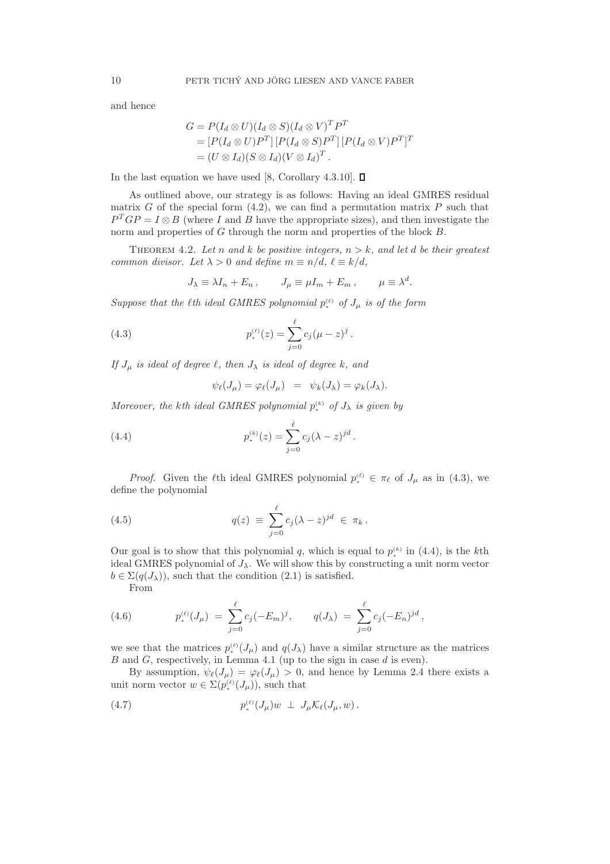and hence

$$
G = P(I_d \otimes U)(I_d \otimes S)(I_d \otimes V)^T P^T
$$
  
= 
$$
[P(I_d \otimes U)P^T][P(I_d \otimes S)P^T][P(I_d \otimes V)P^T]^T
$$
  
= 
$$
(U \otimes I_d)(S \otimes I_d)(V \otimes I_d)^T.
$$

In the last equation we have used [8, Corollary 4.3.10].  $\square$ 

As outlined above, our strategy is as follows: Having an ideal GMRES residual matrix G of the special form  $(4.2)$ , we can find a permutation matrix P such that  $P^{T}GP = I \otimes B$  (where I and B have the appropriate sizes), and then investigate the norm and properties of G through the norm and properties of the block B.

THEOREM 4.2. Let n and k be positive integers,  $n > k$ , and let d be their greatest common divisor. Let  $\lambda > 0$  and define  $m \equiv n/d, \ell \equiv k/d,$ 

$$
J_{\lambda} \equiv \lambda I_n + E_n , \qquad J_{\mu} \equiv \mu I_m + E_m , \qquad \mu \equiv \lambda^d.
$$

Suppose that the  $\ell$ th ideal GMRES polynomial  $p_*^{(\ell)}$  of  $J_\mu$  is of the form

(4.3) 
$$
p_*^{(\ell)}(z) = \sum_{j=0}^{\ell} c_j (\mu - z)^j.
$$

If  $J_{\mu}$  is ideal of degree  $\ell$ , then  $J_{\lambda}$  is ideal of degree k, and

$$
\psi_{\ell}(J_{\mu}) = \varphi_{\ell}(J_{\mu}) = \psi_{k}(J_{\lambda}) = \varphi_{k}(J_{\lambda}).
$$

Moreover, the kth ideal GMRES polynomial  $p_{\ast}^{(k)}$  of  $J_{\lambda}$  is given by

(4.4) 
$$
p_*^{(k)}(z) = \sum_{j=0}^{\ell} c_j (\lambda - z)^{jd}.
$$

*Proof.* Given the  $\ell$ th ideal GMRES polynomial  $p_*^{(\ell)} \in \pi_{\ell}$  of  $J_{\mu}$  as in (4.3), we define the polynomial

(4.5) 
$$
q(z) \equiv \sum_{j=0}^{\ell} c_j (\lambda - z)^{jd} \in \pi_k.
$$

Our goal is to show that this polynomial q, which is equal to  $p_*^{(k)}$  in (4.4), is the kth ideal GMRES polynomial of  $J_{\lambda}$ . We will show this by constructing a unit norm vector  $b \in \Sigma(q(J_{\lambda}))$ , such that the condition (2.1) is satisfied.

From

(4.6) 
$$
p_*^{(\ell)}(J_{\mu}) = \sum_{j=0}^{\ell} c_j (-E_m)^j, \qquad q(J_{\lambda}) = \sum_{j=0}^{\ell} c_j (-E_n)^{jd},
$$

we see that the matrices  $p_{\ast}^{(\ell)}(J_{\mu})$  and  $q(J_{\lambda})$  have a similar structure as the matrices B and G, respectively, in Lemma 4.1 (up to the sign in case d is even).

By assumption,  $\psi_{\ell}(J_{\mu}) = \varphi_{\ell}(J_{\mu}) > 0$ , and hence by Lemma 2.4 there exists a unit norm vector  $w \in \Sigma(p_*^{(\ell)}(J_\mu))$ , such that

$$
(4.7) \t\t\t p_*^{(\ell)}(J_\mu)w \perp J_\mu \mathcal{K}_\ell(J_\mu,w).
$$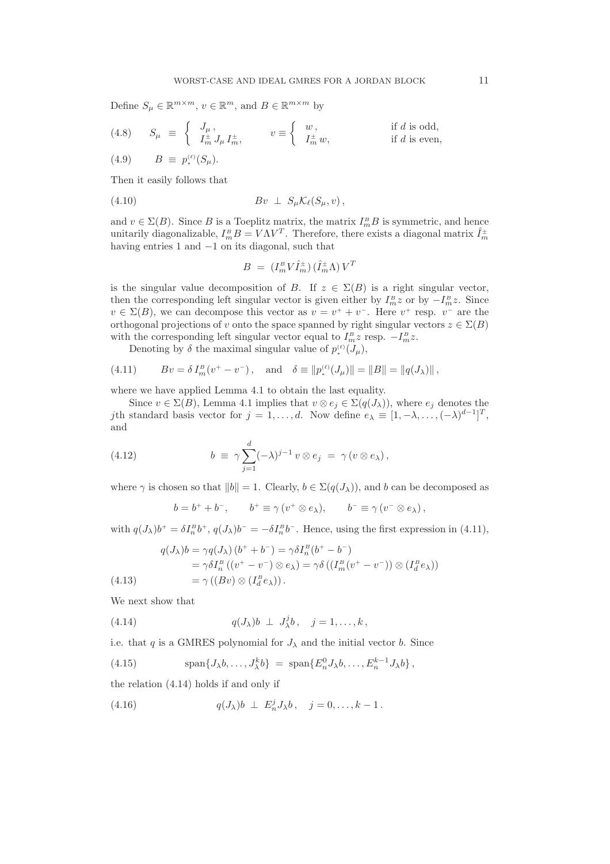Define  $S_{\mu} \in \mathbb{R}^{m \times m}$ ,  $v \in \mathbb{R}^m$ , and  $B \in \mathbb{R}^{m \times m}$  by

(4.8) 
$$
S_{\mu} \equiv \begin{cases} J_{\mu}, & v \equiv \begin{cases} w, & \text{if } d \text{ is odd,} \\ I_m^{\pm} J_{\mu} I_m^{\pm}, & v \equiv \begin{cases} w, & \text{if } d \text{ is odd,} \\ I_m^{\pm} w, & \text{if } d \text{ is even,} \end{cases} \end{cases}
$$
  
(4.9) 
$$
B \equiv p_*^{(\ell)}(S_{\mu}).
$$

Then it easily follows that

$$
(4.10) \t Bv \perp S_{\mu} \mathcal{K}_{\ell}(S_{\mu}, v),
$$

and  $v \in \Sigma(B)$ . Since B is a Toeplitz matrix, the matrix  $I_m^B B$  is symmetric, and hence unitarily diagonalizable,  $I_m^B B = V \Lambda V^T$ . Therefore, there exists a diagonal matrix  $\hat{I}_m^{\pm}$ having entries 1 and  $-1$  on its diagonal, such that

$$
B~=~(I_m^{\scriptscriptstyle B} V \hat I_m^{\pm})\,(\hat I_m^{\pm}\Lambda)\,V^T
$$

is the singular value decomposition of B. If  $z \in \Sigma(B)$  is a right singular vector, then the corresponding left singular vector is given either by  $I_m^B z$  or by  $-I_m^B z$ . Since  $v \in \Sigma(B)$ , we can decompose this vector as  $v = v^+ + v^-$ . Here  $v^+$  resp.  $v^-$  are the orthogonal projections of v onto the space spanned by right singular vectors  $z \in \Sigma(B)$ with the corresponding left singular vector equal to  $I_m^B z$  resp.  $-I_m^B z$ .

Denoting by  $\delta$  the maximal singular value of  $p_*^{(\ell)}(J_\mu)$ ,

(4.11) 
$$
Bv = \delta I_m^B(v^+ - v^-), \text{ and } \delta \equiv ||p_*^{(\ell)}(J_\mu)|| = ||B|| = ||q(J_\lambda)||,
$$

where we have applied Lemma 4.1 to obtain the last equality.

Since  $v \in \Sigma(B)$ , Lemma 4.1 implies that  $v \otimes e_j \in \Sigma(q(J_\lambda))$ , where  $e_j$  denotes the jth standard basis vector for  $j = 1, ..., d$ . Now define  $e_{\lambda} \equiv [1, -\lambda, ..., (-\lambda)^{d-1}]^T$ , and

(4.12) 
$$
b \equiv \gamma \sum_{j=1}^{d} (-\lambda)^{j-1} v \otimes e_j = \gamma (v \otimes e_\lambda),
$$

where  $\gamma$  is chosen so that  $||b|| = 1$ . Clearly,  $b \in \Sigma(q(J_\lambda))$ , and b can be decomposed as

$$
b = b^+ + b^-
$$
,  $b^+ \equiv \gamma (v^+ \otimes e_\lambda)$ ,  $b^- \equiv \gamma (v^- \otimes e_\lambda)$ ,

with  $q(J_\lambda)b^+ = \delta I_n^B b^+, q(J_\lambda)b^- = -\delta I_n^B b^-.$  Hence, using the first expression in (4.11),

$$
q(J_{\lambda})b = \gamma q(J_{\lambda}) (b^+ + b^-) = \gamma \delta I_n^B (b^+ - b^-)
$$
  
=  $\gamma \delta I_n^B ((v^+ - v^-) \otimes e_{\lambda}) = \gamma \delta ((I_m^B (v^+ - v^-)) \otimes (I_d^B e_{\lambda}))$   
=  $\gamma ((Bv) \otimes (I_d^B e_{\lambda}))$ .

We next show that

(4.14) 
$$
q(J_{\lambda})b \perp J_{\lambda}^{j}b, \quad j=1,\ldots,k,
$$

i.e. that  $q$  is a GMRES polynomial for  $J_\lambda$  and the initial vector  $b.$  Since

(4.15) 
$$
\operatorname{span}\{J_{\lambda}b,\ldots,J_{\lambda}^kb\} = \operatorname{span}\{E_n^0J_{\lambda}b,\ldots,E_n^{k-1}J_{\lambda}b\},
$$

the relation (4.14) holds if and only if

(4.16)  $q(J_{\lambda})b \perp E_n^j J_{\lambda}b, \quad j = 0, ..., k - 1$ .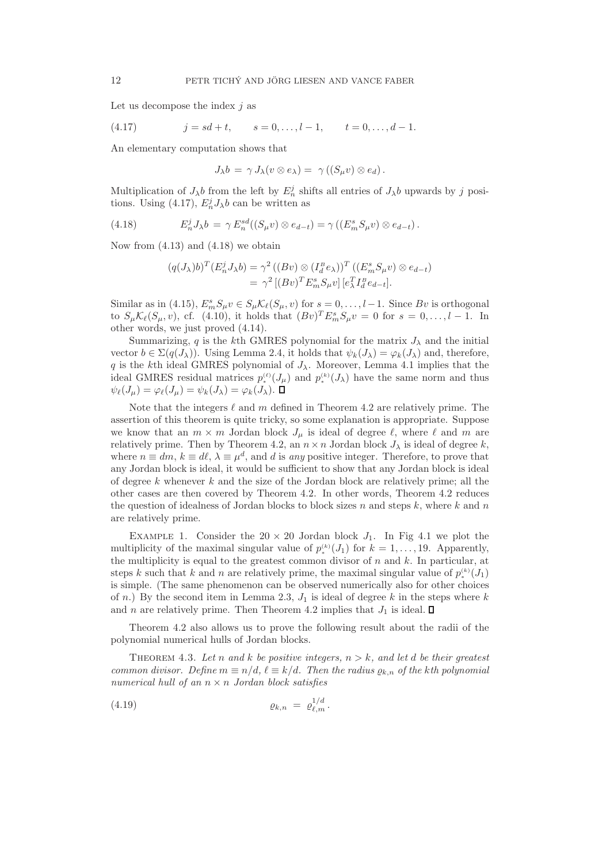Let us decompose the index  $j$  as

(4.17) 
$$
j = sd + t, \qquad s = 0, \dots, l - 1, \qquad t = 0, \dots, d - 1.
$$

An elementary computation shows that

$$
J_{\lambda}b = \gamma J_{\lambda}(v \otimes e_{\lambda}) = \gamma ((S_{\mu}v) \otimes e_d).
$$

Multiplication of  $J_{\lambda}b$  from the left by  $E_n^j$  shifts all entries of  $J_{\lambda}b$  upwards by j positions. Using (4.17),  $E_n^j J_\lambda b$  can be written as

(4.18) 
$$
E_n^j J_\lambda b = \gamma E_n^{sd}((S_\mu v) \otimes e_{d-t}) = \gamma ((E_m^s S_\mu v) \otimes e_{d-t}).
$$

Now from  $(4.13)$  and  $(4.18)$  we obtain

$$
(q(J_{\lambda})b)^{T}(E_{n}^{j}J_{\lambda}b) = \gamma^{2} ((Bv) \otimes (I_{d}^{B}e_{\lambda}))^{T} ((E_{m}^{s}S_{\mu}v) \otimes e_{d-t})
$$
  
= 
$$
\gamma^{2} [(Bv)^{T}E_{m}^{s}S_{\mu}v] [e_{\lambda}^{T}I_{d}^{B}e_{d-t}].
$$

Similar as in (4.15),  $E_m^s S_\mu v \in S_\mu \mathcal{K}_\ell(S_\mu, v)$  for  $s = 0, \ldots, l-1$ . Since  $Bv$  is orthogonal to  $S_{\mu} \mathcal{K}_{\ell}(S_{\mu}, v)$ , cf. (4.10), it holds that  $(Bv)^{T} E_{m}^{s} S_{\mu} v = 0$  for  $s = 0, \ldots, l-1$ . In other words, we just proved (4.14).

Summarizing, q is the kth GMRES polynomial for the matrix  $J_{\lambda}$  and the initial vector  $b \in \Sigma(q(J_{\lambda}))$ . Using Lemma 2.4, it holds that  $\psi_k(J_{\lambda}) = \varphi_k(J_{\lambda})$  and, therefore, q is the kth ideal GMRES polynomial of  $J_{\lambda}$ . Moreover, Lemma 4.1 implies that the ideal GMRES residual matrices  $p_*^{(\ell)}(J_\mu)$  and  $p_*^{(k)}(J_\lambda)$  have the same norm and thus  $\psi_{\ell}(J_{\mu}) = \varphi_{\ell}(J_{\mu}) = \psi_{k}(J_{\lambda}) = \varphi_{k}(J_{\lambda}).$ 

Note that the integers  $\ell$  and m defined in Theorem 4.2 are relatively prime. The assertion of this theorem is quite tricky, so some explanation is appropriate. Suppose we know that an  $m \times m$  Jordan block  $J_{\mu}$  is ideal of degree  $\ell$ , where  $\ell$  and  $m$  are relatively prime. Then by Theorem 4.2, an  $n \times n$  Jordan block  $J_{\lambda}$  is ideal of degree k. where  $n \equiv dm$ ,  $k \equiv d\ell$ ,  $\lambda \equiv \mu^d$ , and d is any positive integer. Therefore, to prove that any Jordan block is ideal, it would be sufficient to show that any Jordan block is ideal of degree  $k$  whenever  $k$  and the size of the Jordan block are relatively prime; all the other cases are then covered by Theorem 4.2. In other words, Theorem 4.2 reduces the question of idealness of Jordan blocks to block sizes n and steps k, where k and n are relatively prime.

EXAMPLE 1. Consider the  $20 \times 20$  Jordan block  $J_1$ . In Fig 4.1 we plot the multiplicity of the maximal singular value of  $p_*^{(k)}(J_1)$  for  $k = 1, ..., 19$ . Apparently, the multiplicity is equal to the greatest common divisor of  $n$  and  $k$ . In particular, at steps k such that k and n are relatively prime, the maximal singular value of  $p_*^{(k)}(J_1)$ is simple. (The same phenomenon can be observed numerically also for other choices of n.) By the second item in Lemma 2.3,  $J_1$  is ideal of degree k in the steps where k and n are relatively prime. Then Theorem 4.2 implies that  $J_1$  is ideal.  $\square$ 

Theorem 4.2 also allows us to prove the following result about the radii of the polynomial numerical hulls of Jordan blocks.

THEOREM 4.3. Let n and k be positive integers,  $n > k$ , and let d be their greatest common divisor. Define  $m \equiv n/d$ ,  $\ell \equiv k/d$ . Then the radius  $\rho_{k,n}$  of the kth polynomial numerical hull of an  $n \times n$  Jordan block satisfies

$$
(4.19) \t\t\t\t\t \varrho_{k,n} = \varrho_{\ell,m}^{1/d}.
$$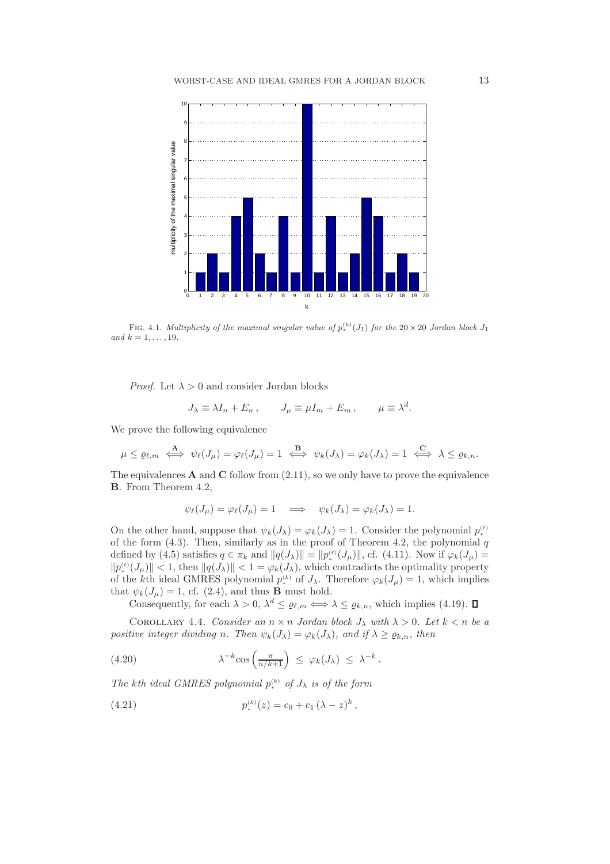

FIG. 4.1. Multiplicity of the maximal singular value of  $p_*^{(k)}(J_1)$  for the 20 × 20 Jordan block  $J_1$ and  $k = 1, \ldots, 19$ .

*Proof.* Let  $\lambda > 0$  and consider Jordan blocks

$$
J_{\lambda} \equiv \lambda I_n + E_n , \qquad J_{\mu} \equiv \mu I_m + E_m , \qquad \mu \equiv \lambda^d.
$$

We prove the following equivalence

$$
\mu \leq \varrho_{\ell,m} \iff \psi_{\ell}(J_{\mu}) = \varphi_{\ell}(J_{\mu}) = 1 \iff \psi_{k}(J_{\lambda}) = \varphi_{k}(J_{\lambda}) = 1 \iff \lambda \leq \varrho_{k,n}.
$$

The equivalences  $A$  and  $C$  follow from  $(2.11)$ , so we only have to prove the equivalence B. From Theorem 4.2,

$$
\psi_{\ell}(J_{\mu}) = \varphi_{\ell}(J_{\mu}) = 1 \quad \Longrightarrow \quad \psi_{k}(J_{\lambda}) = \varphi_{k}(J_{\lambda}) = 1.
$$

On the other hand, suppose that  $\psi_k(J_\lambda) = \varphi_k(J_\lambda) = 1$ . Consider the polynomial  $p_*^{(\ell)}$ of the form  $(4.3)$ . Then, similarly as in the proof of Theorem 4.2, the polynomial q defined by (4.5) satisfies  $q \in \pi_k$  and  $||q(J_\lambda)|| = ||p_*^{(\ell)}(J_\mu)||$ , cf. (4.11). Now if  $\varphi_k(J_\mu) =$  $||p_{\ast}^{(\ell)}(J_{\mu})|| < 1$ , then  $||q(J_{\lambda})|| < 1 = \varphi_k(J_{\lambda})$ , which contradicts the optimality property of the kth ideal GMRES polynomial  $p_*^{(k)}$  of  $J_\lambda$ . Therefore  $\varphi_k(J_\mu) = 1$ , which implies that  $\psi_k(J_\mu) = 1$ , cf. (2.4), and thus **B** must hold.

Consequently, for each  $\lambda > 0$ ,  $\lambda^d \leq \varrho_{\ell,m} \Longleftrightarrow \lambda \leq \varrho_{k,n}$ , which implies (4.19).

COROLLARY 4.4. Consider an  $n \times n$  Jordan block  $J_{\lambda}$  with  $\lambda > 0$ . Let  $k < n$  be a positive integer dividing n. Then  $\psi_k(J_\lambda) = \varphi_k(J_\lambda)$ , and if  $\lambda \ge \varrho_{k,n}$ , then

(4.20) 
$$
\lambda^{-k} \cos\left(\frac{\pi}{n/k+1}\right) \leq \varphi_k(J_\lambda) \leq \lambda^{-k}.
$$

The kth ideal GMRES polynomial  $p_{\ast}^{(k)}$  of  $J_{\lambda}$  is of the form

(4.21) 
$$
p_*^{(k)}(z) = c_0 + c_1 (\lambda - z)^k,
$$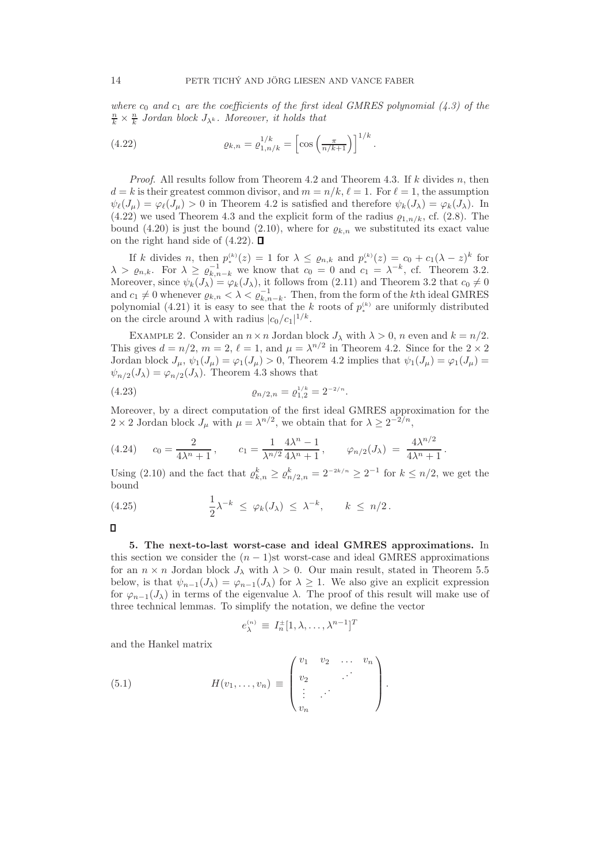where  $c_0$  and  $c_1$  are the coefficients of the first ideal GMRES polynomial (4.3) of the  $\frac{n}{k} \times \frac{n}{k}$  Jordan block  $J_{\lambda^k}$ . Moreover, it holds that

(4.22) 
$$
\varrho_{k,n} = \varrho_{1,n/k}^{1/k} = \left[ \cos \left( \frac{\pi}{n/k + 1} \right) \right]^{1/k}.
$$

*Proof.* All results follow from Theorem 4.2 and Theorem 4.3. If  $k$  divides n, then  $d = k$  is their greatest common divisor, and  $m = n/k$ ,  $\ell = 1$ . For  $\ell = 1$ , the assumption  $\psi_{\ell}(J_{\mu}) = \varphi_{\ell}(J_{\mu}) > 0$  in Theorem 4.2 is satisfied and therefore  $\psi_k(J_{\lambda}) = \varphi_k(J_{\lambda})$ . In (4.22) we used Theorem 4.3 and the explicit form of the radius  $\varrho_{1,n/k}$ , cf. (2.8). The bound (4.20) is just the bound (2.10), where for  $\rho_{k,n}$  we substituted its exact value on the right hand side of  $(4.22)$ .  $\Box$ 

If k divides n, then  $p_*^{(k)}(z) = 1$  for  $\lambda \leq \varrho_{n,k}$  and  $p_*^{(k)}(z) = c_0 + c_1(\lambda - z)^k$  for  $\lambda > \varrho_{n,k}$ . For  $\lambda \ge \varrho_{k,n-k}^{-1}$  we know that  $c_0 = 0$  and  $c_1 = \lambda^{-k}$ , cf. Theorem 3.2. Moreover, since  $\psi_k(J_\lambda) = \varphi_k(J_\lambda)$ , it follows from  $(2.11)$  and Theorem 3.2 that  $c_0 \neq 0$ and  $c_1 \neq 0$  whenever  $\varrho_{k,n} < \lambda < \varrho_{k,n-k}^{-1}$ . Then, from the form of the kth ideal GMRES polynomial (4.21) it is easy to see that the k roots of  $p_*^{(k)}$  are uniformly distributed on the circle around  $\lambda$  with radius  $|c_0/c_1|^{1/k}$ .

EXAMPLE 2. Consider an  $n \times n$  Jordan block  $J_{\lambda}$  with  $\lambda > 0$ , n even and  $k = n/2$ . This gives  $d = n/2$ ,  $m = 2$ ,  $\ell = 1$ , and  $\mu = \lambda^{n/2}$  in Theorem 4.2. Since for the  $2 \times 2$ Jordan block  $J_{\mu}$ ,  $\psi_1(J_{\mu}) = \varphi_1(J_{\mu}) > 0$ , Theorem 4.2 implies that  $\psi_1(J_{\mu}) = \varphi_1(J_{\mu}) =$  $\psi_{n/2}(J_\lambda) = \varphi_{n/2}(J_\lambda)$ . Theorem 4.3 shows that

(4.23) 
$$
\varrho_{n/2,n} = \varrho_{1,2}^{1/k} = 2^{-2/n}.
$$

Moreover, by a direct computation of the first ideal GMRES approximation for the  $2 \times 2$  Jordan block  $J_{\mu}$  with  $\mu = \lambda^{n/2}$ , we obtain that for  $\lambda \geq 2^{-2/n}$ ,

$$
(4.24) \t c_0 = \frac{2}{4\lambda^n + 1}, \t c_1 = \frac{1}{\lambda^{n/2}} \frac{4\lambda^n - 1}{4\lambda^n + 1}, \t \varphi_{n/2}(J_\lambda) = \frac{4\lambda^{n/2}}{4\lambda^n + 1}.
$$

Using (2.10) and the fact that  $\varrho_{k,n}^k \geq \varrho_{n/2,n}^k = 2^{-2k/n} \geq 2^{-1}$  for  $k \leq n/2$ , we get the bound

(4.25) 
$$
\frac{1}{2}\lambda^{-k} \leq \varphi_k(J_\lambda) \leq \lambda^{-k}, \qquad k \leq n/2.
$$

5. The next-to-last worst-case and ideal GMRES approximations. In this section we consider the  $(n - 1)$ st worst-case and ideal GMRES approximations for an  $n \times n$  Jordan block  $J_{\lambda}$  with  $\lambda > 0$ . Our main result, stated in Theorem 5.5 below, is that  $\psi_{n-1}(J_\lambda) = \varphi_{n-1}(J_\lambda)$  for  $\lambda \geq 1$ . We also give an explicit expression for  $\varphi_{n-1}(J_\lambda)$  in terms of the eigenvalue  $\lambda$ . The proof of this result will make use of three technical lemmas. To simplify the notation, we define the vector

$$
e_{\lambda}^{(n)} \equiv I_n^{\pm} [1, \lambda, \dots, \lambda^{n-1}]^T
$$

and the Hankel matrix

(5.1) 
$$
H(v_1, ..., v_n) \equiv \begin{pmatrix} v_1 & v_2 & \dots & v_n \\ v_2 & & \cdots & \\ \vdots & \vdots & \ddots & \\ v_n & & \end{pmatrix}.
$$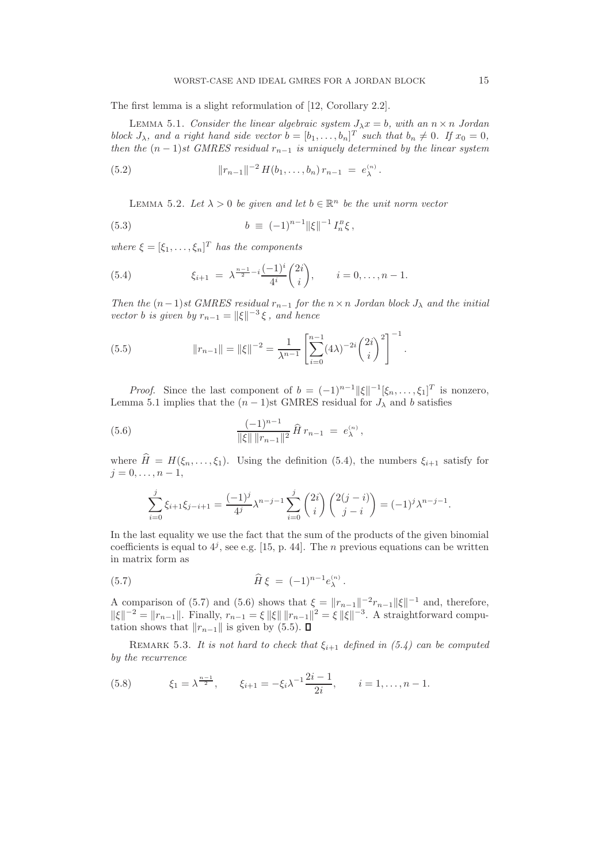The first lemma is a slight reformulation of [12, Corollary 2.2].

LEMMA 5.1. Consider the linear algebraic system  $J_{\lambda}x = b$ , with an  $n \times n$  Jordan block  $J_{\lambda}$ , and a right hand side vector  $b = [b_1, \ldots, b_n]^T$  such that  $b_n \neq 0$ . If  $x_0 = 0$ , then the  $(n-1)$ st GMRES residual  $r_{n-1}$  is uniquely determined by the linear system

(5.2) 
$$
||r_{n-1}||^{-2} H(b_1,\ldots,b_n) r_{n-1} = e_{\lambda}^{(n)}.
$$

LEMMA 5.2. Let  $\lambda > 0$  be given and let  $b \in \mathbb{R}^n$  be the unit norm vector

(5.3) 
$$
b \equiv (-1)^{n-1} ||\xi||^{-1} I_n^B \xi,
$$

where  $\xi = [\xi_1, \ldots, \xi_n]^T$  has the components

(5.4) 
$$
\xi_{i+1} = \lambda^{\frac{n-1}{2} - i} \frac{(-1)^i}{4^i} {2i \choose i}, \qquad i = 0, \ldots, n-1.
$$

Then the  $(n-1)$ st GMRES residual  $r_{n-1}$  for the  $n \times n$  Jordan block  $J_{\lambda}$  and the initial vector *b* is given by  $r_{n-1} = ||\xi||^{-3} \xi$ , and hence

(5.5) 
$$
||r_{n-1}|| = ||\xi||^{-2} = \frac{1}{\lambda^{n-1}} \left[ \sum_{i=0}^{n-1} (4\lambda)^{-2i} {2i \choose i}^2 \right]^{-1}.
$$

*Proof.* Since the last component of  $b = (-1)^{n-1} ||\xi||^{-1} [\xi_n, \dots, \xi_1]^T$  is nonzero, Lemma 5.1 implies that the  $(n-1)$ st GMRES residual for  $J_{\lambda}$  and b satisfies

(5.6) 
$$
\frac{(-1)^{n-1}}{\|\xi\| \|r_{n-1}\|^2} \widehat{H} r_{n-1} = e_{\lambda}^{(n)},
$$

where  $\widehat{H} = H(\xi_n, \ldots, \xi_1)$ . Using the definition (5.4), the numbers  $\xi_{i+1}$  satisfy for  $j = 0, \ldots, n - 1,$ 

$$
\sum_{i=0}^{j} \xi_{i+1} \xi_{j-i+1} = \frac{(-1)^j}{4^j} \lambda^{n-j-1} \sum_{i=0}^{j} {2i \choose i} {2(j-i) \choose j-i} = (-1)^j \lambda^{n-j-1}.
$$

In the last equality we use the fact that the sum of the products of the given binomial coefficients is equal to  $4^j$ , see e.g. [15, p. 44]. The *n* previous equations can be written in matrix form as

(5.7) 
$$
\widehat{H}\,\xi = (-1)^{n-1}e_{\lambda}^{(n)}.
$$

A comparison of (5.7) and (5.6) shows that  $\xi = ||r_{n-1}||^{-2}r_{n-1}||\xi||^{-1}$  and, therefore,  $\|\xi\|^{-2} = \|r_{n-1}\|$ . Finally,  $r_{n-1} = \xi \|\xi\| \|r_{n-1}\|^2 = \xi \|\xi\|^{-3}$ . A straightforward computation shows that  $||r_{n-1}||$  is given by (5.5).  $\Box$ 

REMARK 5.3. It is not hard to check that  $\xi_{i+1}$  defined in (5.4) can be computed by the recurrence

(5.8) 
$$
\xi_1 = \lambda^{\frac{n-1}{2}}, \qquad \xi_{i+1} = -\xi_i \lambda^{-1} \frac{2i-1}{2i}, \qquad i = 1, \dots, n-1.
$$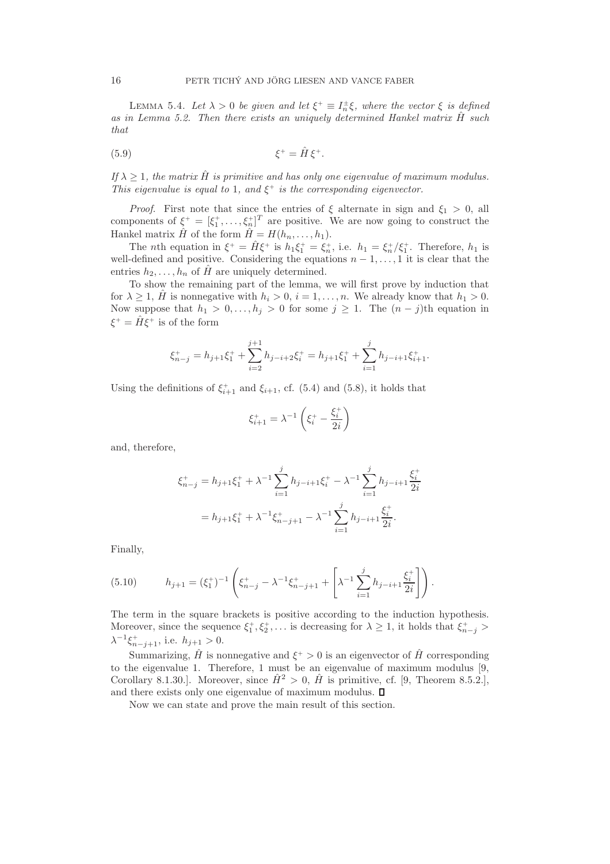LEMMA 5.4. Let  $\lambda > 0$  be given and let  $\xi^+ \equiv I_n^{\pm} \xi$ , where the vector  $\xi$  is defined as in Lemma 5.2. Then there exists an uniquely determined Hankel matrix  $\hat{H}$  such that

$$
\xi^+ = \hat{H} \xi^+.
$$

If  $\lambda \geq 1$ , the matrix  $\hat{H}$  is primitive and has only one eigenvalue of maximum modulus. This eigenvalue is equal to 1, and  $\xi^+$  is the corresponding eigenvector.

*Proof.* First note that since the entries of  $\xi$  alternate in sign and  $\xi_1 > 0$ , all components of  $\xi^+ = [\xi_1^+, \ldots, \xi_n^+]^T$  are positive. We are now going to construct the Hankel matrix  $\hat{H}$  of the form  $\hat{H} = H(h_n, \ldots, h_1)$ .

The *n*th equation in  $\xi^+ = \hat{H}\xi^+$  is  $h_1\xi_1^+ = \xi_n^+$ , i.e.  $h_1 = \xi_n^+/\xi_1^+$ . Therefore,  $h_1$  is well-defined and positive. Considering the equations  $n-1, \ldots, 1$  it is clear that the entries  $h_2, \ldots, h_n$  of H are uniquely determined.

To show the remaining part of the lemma, we will first prove by induction that for  $\lambda \geq 1$ ,  $\hat{H}$  is nonnegative with  $h_i > 0$ ,  $i = 1, ..., n$ . We already know that  $h_1 > 0$ . Now suppose that  $h_1 > 0, \ldots, h_j > 0$  for some  $j \geq 1$ . The  $(n - j)$ th equation in  $\xi^+ = \hat{H}\xi^+$  is of the form

$$
\xi_{n-j}^+ = h_{j+1}\xi_1^+ + \sum_{i=2}^{j+1} h_{j-i+2}\xi_i^+ = h_{j+1}\xi_1^+ + \sum_{i=1}^{j} h_{j-i+1}\xi_{i+1}^+.
$$

Using the definitions of  $\xi_{i+1}^+$  and  $\xi_{i+1}$ , cf. (5.4) and (5.8), it holds that

$$
\xi_{i+1}^{+} = \lambda^{-1} \left( \xi_{i}^{+} - \frac{\xi_{i}^{+}}{2i} \right)
$$

and, therefore,

$$
\xi_{n-j}^{+} = h_{j+1}\xi_1^{+} + \lambda^{-1} \sum_{i=1}^{j} h_{j-i+1}\xi_i^{+} - \lambda^{-1} \sum_{i=1}^{j} h_{j-i+1} \frac{\xi_i^{+}}{2i}
$$

$$
= h_{j+1}\xi_1^{+} + \lambda^{-1}\xi_{n-j+1}^{+} - \lambda^{-1} \sum_{i=1}^{j} h_{j-i+1} \frac{\xi_i^{+}}{2i}.
$$

Finally,

(5.10) 
$$
h_{j+1} = (\xi_1^+)^{-1} \left( \xi_{n-j}^+ - \lambda^{-1} \xi_{n-j+1}^+ + \left[ \lambda^{-1} \sum_{i=1}^j h_{j-i+1} \frac{\xi_i^+}{2i} \right] \right).
$$

The term in the square brackets is positive according to the induction hypothesis. Moreover, since the sequence  $\xi_1^+, \xi_2^+, \ldots$  is decreasing for  $\lambda \geq 1$ , it holds that  $\xi_{n-j}^+$  >  $\lambda^{-1}\xi_{n-j+1}^+$ , i.e.  $h_{j+1} > 0$ .

Summarizing,  $\hat{H}$  is nonnegative and  $\xi^{+} > 0$  is an eigenvector of  $\hat{H}$  corresponding to the eigenvalue 1. Therefore, 1 must be an eigenvalue of maximum modulus [9, Corollary 8.1.30.]. Moreover, since  $\hat{H}^2 > 0$ ,  $\hat{H}$  is primitive, cf. [9, Theorem 8.5.2.], and there exists only one eigenvalue of maximum modulus.  $\square$ 

Now we can state and prove the main result of this section.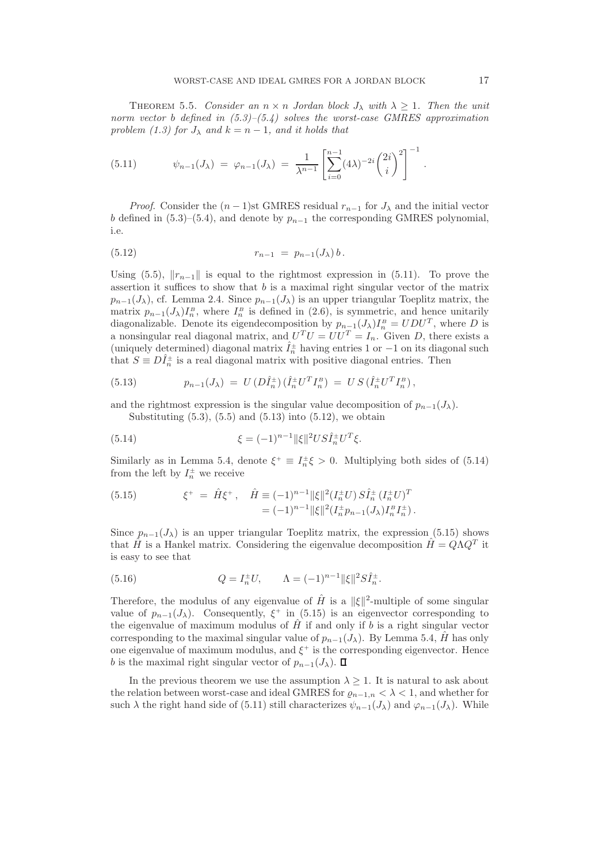THEOREM 5.5. Consider an  $n \times n$  Jordan block  $J_{\lambda}$  with  $\lambda \geq 1$ . Then the unit norm vector b defined in  $(5.3)$ – $(5.4)$  solves the worst-case GMRES approximation problem (1.3) for  $J_{\lambda}$  and  $k = n - 1$ , and it holds that

(5.11) 
$$
\psi_{n-1}(J_{\lambda}) = \varphi_{n-1}(J_{\lambda}) = \frac{1}{\lambda^{n-1}} \left[ \sum_{i=0}^{n-1} (4\lambda)^{-2i} {2i \choose i}^2 \right]^{-1}.
$$

*Proof.* Consider the  $(n-1)$ st GMRES residual  $r_{n-1}$  for  $J_\lambda$  and the initial vector b defined in (5.3)–(5.4), and denote by  $p_{n-1}$  the corresponding GMRES polynomial, i.e.

(5.12) 
$$
r_{n-1} = p_{n-1}(J_{\lambda}) b.
$$

Using (5.5),  $||r_{n-1}||$  is equal to the rightmost expression in (5.11). To prove the assertion it suffices to show that  $b$  is a maximal right singular vector of the matrix  $p_{n-1}(J_\lambda)$ , cf. Lemma 2.4. Since  $p_{n-1}(J_\lambda)$  is an upper triangular Toeplitz matrix, the matrix  $p_{n-1}(J_\lambda)I_n^B$ , where  $I_n^B$  is defined in (2.6), is symmetric, and hence unitarily diagonalizable. Denote its eigendecomposition by  $p_{n-1}(J_\lambda)I_n^B = UDU^T$ , where D is a nonsingular real diagonal matrix, and  $U^T U = U U^T = I_n$ . Given D, there exists a (uniquely determined) diagonal matrix  $\hat{I}_n^{\pm}$  having entries 1 or -1 on its diagonal such that  $S \equiv D\hat{I}_n^{\pm}$  is a real diagonal matrix with positive diagonal entries. Then

(5.13) 
$$
p_{n-1}(J_{\lambda}) = U(D\hat{I}_n^{\pm}) (\hat{I}_n^{\pm} U^T I_n^B) = US(\hat{I}_n^{\pm} U^T I_n^B),
$$

and the rightmost expression is the singular value decomposition of  $p_{n-1}(J_\lambda)$ .

Substituting  $(5.3)$ ,  $(5.5)$  and  $(5.13)$  into  $(5.12)$ , we obtain

(5.14) 
$$
\xi = (-1)^{n-1} \|\xi\|^2 US\hat{I}_n^{\pm} U^T \xi.
$$

Similarly as in Lemma 5.4, denote  $\xi^+ \equiv I_n^{\pm} \xi > 0$ . Multiplying both sides of (5.14) from the left by  $I_n^{\pm}$  we receive

(5.15) 
$$
\xi^+ = \hat{H}\xi^+, \quad \hat{H} \equiv (-1)^{n-1} ||\xi||^2 (I_n^{\pm} U) S \hat{I}_n^{\pm} (I_n^{\pm} U)^T = (-1)^{n-1} ||\xi||^2 (I_n^{\pm} p_{n-1} (J_\lambda) I_n^B I_n^{\pm}).
$$

Since  $p_{n-1}(J_\lambda)$  is an upper triangular Toeplitz matrix, the expression (5.15) shows that  $\hat{H}$  is a Hankel matrix. Considering the eigenvalue decomposition  $\hat{H} = Q\Lambda Q^T$  it is easy to see that

(5.16) 
$$
Q = I_n^{\pm} U, \qquad \Lambda = (-1)^{n-1} ||\xi||^2 S \hat{I}_n^{\pm}.
$$

Therefore, the modulus of any eigenvalue of  $\hat{H}$  is a  $\|\xi\|^2$ -multiple of some singular value of  $p_{n-1}(J_\lambda)$ . Consequently,  $\xi^+$  in (5.15) is an eigenvector corresponding to the eigenvalue of maximum modulus of  $\hat{H}$  if and only if b is a right singular vector corresponding to the maximal singular value of  $p_{n-1}(J_\lambda)$ . By Lemma 5.4,  $\hat{H}$  has only one eigenvalue of maximum modulus, and  $\xi^+$  is the corresponding eigenvector. Hence b is the maximal right singular vector of  $p_{n-1}(J_\lambda)$ .  $\square$ 

In the previous theorem we use the assumption  $\lambda \geq 1$ . It is natural to ask about the relation between worst-case and ideal GMRES for  $\varrho_{n-1,n} < \lambda < 1$ , and whether for such  $\lambda$  the right hand side of (5.11) still characterizes  $\psi_{n-1}(J_\lambda)$  and  $\varphi_{n-1}(J_\lambda)$ . While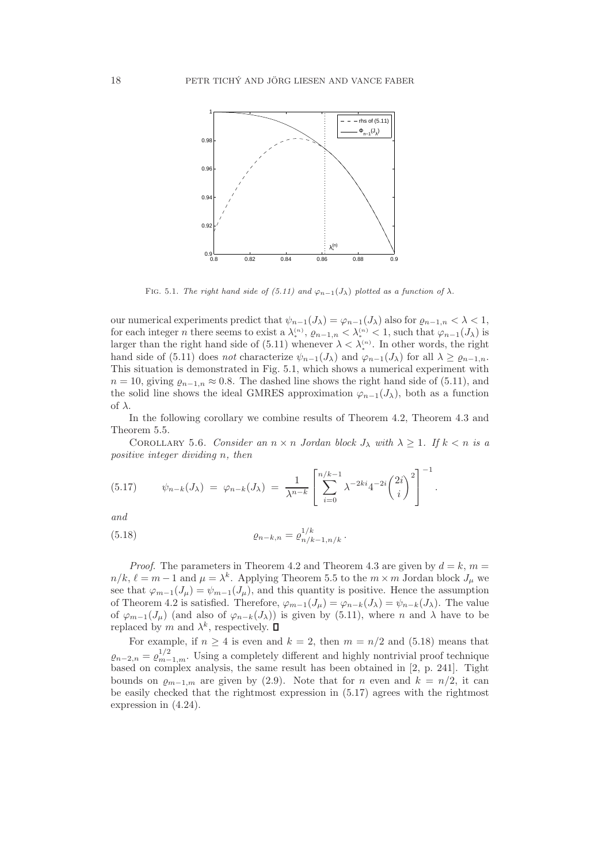

FIG. 5.1. The right hand side of (5.11) and  $\varphi_{n-1}(J_\lambda)$  plotted as a function of  $\lambda$ .

our numerical experiments predict that  $\psi_{n-1}(J_\lambda) = \varphi_{n-1}(J_\lambda)$  also for  $\varrho_{n-1,n} < \lambda < 1$ , for each integer *n* there seems to exist a  $\lambda_*^{(n)}$ ,  $\varrho_{n-1,n} < \lambda_*^{(n)} < 1$ , such that  $\varphi_{n-1}(J_\lambda)$  is larger than the right hand side of  $(5.11)$  whenever  $\lambda < \lambda_*^{(n)}$ . In other words, the right hand side of (5.11) does not characterize  $\psi_{n-1}(J_\lambda)$  and  $\varphi_{n-1}(J_\lambda)$  for all  $\lambda \geq \varrho_{n-1,n}$ . This situation is demonstrated in Fig. 5.1, which shows a numerical experiment with  $n = 10$ , giving  $\varrho_{n-1,n} \approx 0.8$ . The dashed line shows the right hand side of (5.11), and the solid line shows the ideal GMRES approximation  $\varphi_{n-1}(J_\lambda)$ , both as a function of  $\lambda$ .

In the following corollary we combine results of Theorem 4.2, Theorem 4.3 and Theorem 5.5.

COROLLARY 5.6. Consider an  $n \times n$  Jordan block  $J_{\lambda}$  with  $\lambda \geq 1$ . If  $k < n$  is a positive integer dividing n, then

(5.17) 
$$
\psi_{n-k}(J_{\lambda}) = \varphi_{n-k}(J_{\lambda}) = \frac{1}{\lambda^{n-k}} \left[ \sum_{i=0}^{n/k-1} \lambda^{-2ki} 4^{-2i} \binom{2i}{i}^2 \right]^{-1}.
$$

and

(5.18) 
$$
\varrho_{n-k,n} = \varrho_{n/k-1,n/k}^{1/k}.
$$

*Proof.* The parameters in Theorem 4.2 and Theorem 4.3 are given by  $d = k$ ,  $m =$  $n/k, \ell = m - 1$  and  $\mu = \lambda^k$ . Applying Theorem 5.5 to the  $m \times m$  Jordan block  $J_\mu$  we see that  $\varphi_{m-1}(J_\mu) = \psi_{m-1}(J_\mu)$ , and this quantity is positive. Hence the assumption of Theorem 4.2 is satisfied. Therefore,  $\varphi_{m-1}(J_\mu) = \varphi_{n-k}(J_\lambda) = \psi_{n-k}(J_\lambda)$ . The value of  $\varphi_{m-1}(J_\mu)$  (and also of  $\varphi_{n-k}(J_\lambda)$ ) is given by (5.11), where n and  $\lambda$  have to be replaced by m and  $\lambda^k$ , respectively.

For example, if  $n \geq 4$  is even and  $k = 2$ , then  $m = n/2$  and (5.18) means that  $\rho_{n-2,n} = \rho_{m-1,m}^{1/2}$ . Using a completely different and highly nontrivial proof technique based on complex analysis, the same result has been obtained in [2, p. 241]. Tight bounds on  $\rho_{m-1,m}$  are given by (2.9). Note that for n even and  $k = n/2$ , it can be easily checked that the rightmost expression in (5.17) agrees with the rightmost expression in (4.24).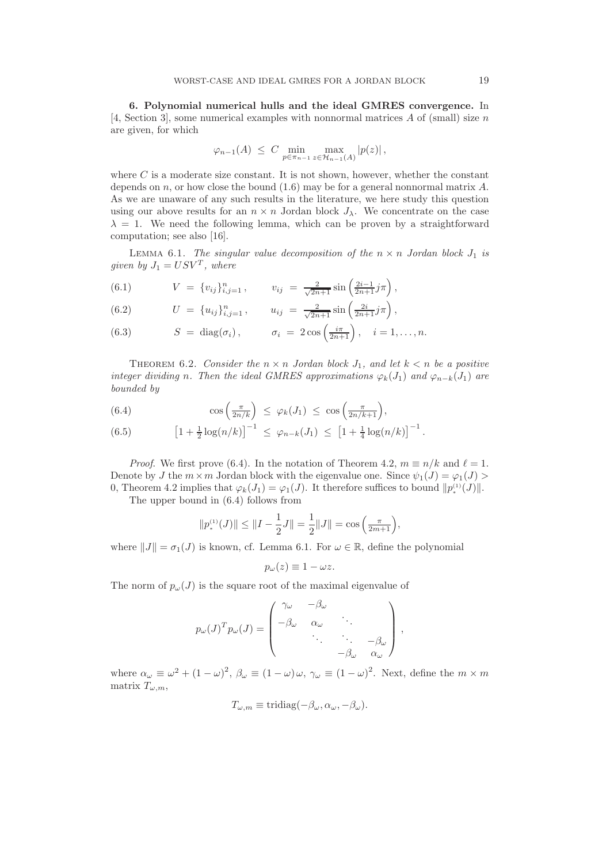6. Polynomial numerical hulls and the ideal GMRES convergence. In [4, Section 3], some numerical examples with nonnormal matrices  $A$  of (small) size  $n$ are given, for which

$$
\varphi_{n-1}(A) \leq C \min_{p \in \pi_{n-1}} \max_{z \in \mathcal{H}_{n-1}(A)} |p(z)|,
$$

where  $C$  is a moderate size constant. It is not shown, however, whether the constant depends on n, or how close the bound  $(1.6)$  may be for a general nonnormal matrix A. As we are unaware of any such results in the literature, we here study this question using our above results for an  $n \times n$  Jordan block  $J_{\lambda}$ . We concentrate on the case  $\lambda = 1$ . We need the following lemma, which can be proven by a straightforward computation; see also [16].

LEMMA 6.1. The singular value decomposition of the  $n \times n$  Jordan block  $J_1$  is given by  $J_1 = USV^T$ , where

(6.1) 
$$
V = \{v_{ij}\}_{i,j=1}^n, \qquad v_{ij} = \frac{2}{\sqrt{2n+1}}\sin\left(\frac{2i-1}{2n+1}j\pi\right),
$$

(6.2) 
$$
U = \{u_{ij}\}_{i,j=1}^n, \qquad u_{ij} = \frac{2}{\sqrt{2n+1}}\sin\left(\frac{2i}{2n+1}j\pi\right),
$$

(6.3) 
$$
S = \text{diag}(\sigma_i), \qquad \sigma_i = 2\cos\left(\frac{i\pi}{2n+1}\right), \quad i = 1,\dots,n.
$$

THEOREM 6.2. Consider the  $n \times n$  Jordan block  $J_1$ , and let  $k < n$  be a positive integer dividing n. Then the ideal GMRES approximations  $\varphi_k(J_1)$  and  $\varphi_{n-k}(J_1)$  are bounded by

(6.4) 
$$
\cos\left(\frac{\pi}{2n/k}\right) \leq \varphi_k(J_1) \leq \cos\left(\frac{\pi}{2n/k+1}\right),
$$

(6.5) 
$$
\left[1+\tfrac{1}{2}\log(n/k)\right]^{-1} \leq \varphi_{n-k}(J_1) \leq \left[1+\tfrac{1}{4}\log(n/k)\right]^{-1}.
$$

*Proof.* We first prove (6.4). In the notation of Theorem 4.2,  $m \equiv n/k$  and  $\ell = 1$ . Denote by J the  $m \times m$  Jordan block with the eigenvalue one. Since  $\psi_1(J) = \varphi_1(J) >$ 0, Theorem 4.2 implies that  $\varphi_k(J_1) = \varphi_1(J)$ . It therefore suffices to bound  $||p_*^{(1)}(J)||$ .

The upper bound in (6.4) follows from

$$
||p_*^{(1)}(J)|| \le ||I - \frac{1}{2}J|| = \frac{1}{2}||J|| = \cos\left(\frac{\pi}{2m+1}\right),
$$

where  $||J|| = \sigma_1(J)$  is known, cf. Lemma 6.1. For  $\omega \in \mathbb{R}$ , define the polynomial

$$
p_{\omega}(z) \equiv 1 - \omega z.
$$

The norm of  $p_{\omega}(J)$  is the square root of the maximal eigenvalue of

$$
p_{\omega}(J)^{T} p_{\omega}(J) = \begin{pmatrix} \gamma_{\omega} & -\beta_{\omega} & & \\ -\beta_{\omega} & \alpha_{\omega} & \ddots & \\ & \ddots & \ddots & -\beta_{\omega} \\ & & \beta_{\omega} & \alpha_{\omega} \end{pmatrix},
$$

where  $\alpha_{\omega} \equiv \omega^2 + (1 - \omega)^2$ ,  $\beta_{\omega} \equiv (1 - \omega) \omega$ ,  $\gamma_{\omega} \equiv (1 - \omega)^2$ . Next, define the  $m \times m$ matrix  $T_{\omega,m}$ ,

$$
T_{\omega,m} \equiv \text{tridiag}(-\beta_{\omega}, \alpha_{\omega}, -\beta_{\omega}).
$$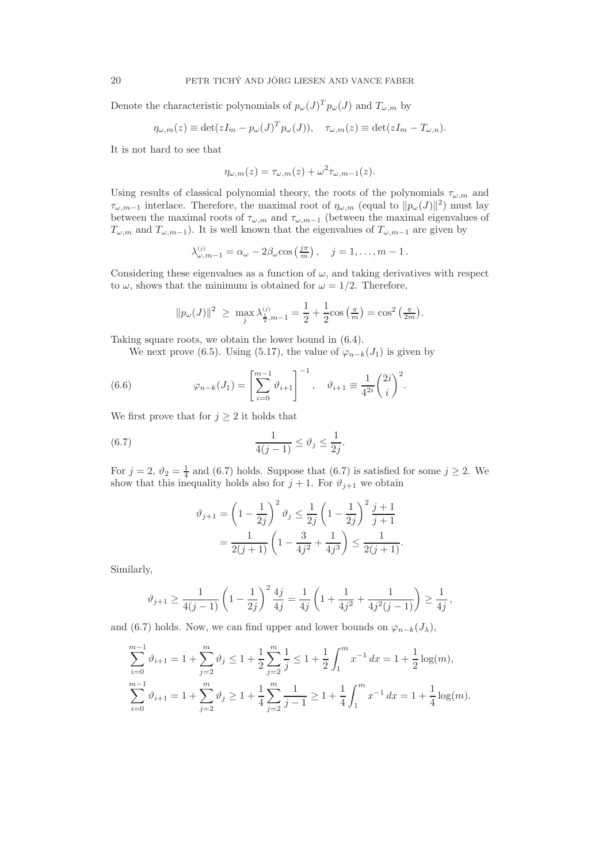Denote the characteristic polynomials of  $p_{\omega}(J)^T p_{\omega}(J)$  and  $T_{\omega,m}$  by

$$
\eta_{\omega,m}(z) \equiv \det(zI_m - p_{\omega}(J)^T p_{\omega}(J)), \quad \tau_{\omega,m}(z) \equiv \det(zI_m - T_{\omega,n}).
$$

It is not hard to see that

$$
\eta_{\omega,m}(z) = \tau_{\omega,m}(z) + \omega^2 \tau_{\omega,m-1}(z).
$$

Using results of classical polynomial theory, the roots of the polynomials  $\tau_{\omega,m}$  and  $\tau_{\omega,m-1}$  interlace. Therefore, the maximal root of  $\eta_{\omega,m}$  (equal to  $||p_{\omega}(J)||^2$ ) must lay between the maximal roots of  $\tau_{\omega,m}$  and  $\tau_{\omega,m-1}$  (between the maximal eigenvalues of  $T_{\omega,m}$  and  $T_{\omega,m-1}$ ). It is well known that the eigenvalues of  $T_{\omega,m-1}$  are given by

$$
\lambda_{\omega,m-1}^{(j)} = \alpha_{\omega} - 2\beta_{\omega}\cos\left(\frac{j\pi}{m}\right), \quad j = 1,\ldots,m-1.
$$

Considering these eigenvalues as a function of  $\omega$ , and taking derivatives with respect to  $\omega$ , shows that the minimum is obtained for  $\omega = 1/2$ . Therefore,

$$
||p_{\omega}(J)||^2 \ge \max_j \lambda_{\frac{1}{2},m-1}^{(j)} = \frac{1}{2} + \frac{1}{2} \cos\left(\frac{\pi}{m}\right) = \cos^2\left(\frac{\pi}{2m}\right).
$$

Taking square roots, we obtain the lower bound in (6.4).

We next prove (6.5). Using (5.17), the value of  $\varphi_{n-k}(J_1)$  is given by

(6.6) 
$$
\varphi_{n-k}(J_1) = \left[\sum_{i=0}^{m-1} \vartheta_{i+1}\right]^{-1}, \quad \vartheta_{i+1} \equiv \frac{1}{4^{2i}} \binom{2i}{i}^2.
$$

We first prove that for  $j \geq 2$  it holds that

(6.7) 
$$
\frac{1}{4(j-1)} \le \vartheta_j \le \frac{1}{2j}.
$$

For  $j = 2$ ,  $\vartheta_2 = \frac{1}{4}$  and (6.7) holds. Suppose that (6.7) is satisfied for some  $j \ge 2$ . We show that this inequality holds also for  $j + 1$ . For  $\vartheta_{j+1}$  we obtain

$$
\vartheta_{j+1} = \left(1 - \frac{1}{2j}\right)^2 \vartheta_j \le \frac{1}{2j} \left(1 - \frac{1}{2j}\right)^2 \frac{j+1}{j+1}
$$

$$
= \frac{1}{2(j+1)} \left(1 - \frac{3}{4j^2} + \frac{1}{4j^3}\right) \le \frac{1}{2(j+1)}.
$$

Similarly,

$$
\vartheta_{j+1} \ge \frac{1}{4(j-1)} \left(1 - \frac{1}{2j}\right)^2 \frac{4j}{4j} = \frac{1}{4j} \left(1 + \frac{1}{4j^2} + \frac{1}{4j^2(j-1)}\right) \ge \frac{1}{4j},
$$

and (6.7) holds. Now, we can find upper and lower bounds on  $\varphi_{n-k}(J_\lambda)$ ,

$$
\sum_{i=0}^{m-1} \vartheta_{i+1} = 1 + \sum_{j=2}^{m} \vartheta_j \le 1 + \frac{1}{2} \sum_{j=2}^{m} \frac{1}{j} \le 1 + \frac{1}{2} \int_{1}^{m} x^{-1} dx = 1 + \frac{1}{2} \log(m),
$$
  

$$
\sum_{i=0}^{m-1} \vartheta_{i+1} = 1 + \sum_{j=2}^{m} \vartheta_j \ge 1 + \frac{1}{4} \sum_{j=2}^{m} \frac{1}{j-1} \ge 1 + \frac{1}{4} \int_{1}^{m} x^{-1} dx = 1 + \frac{1}{4} \log(m).
$$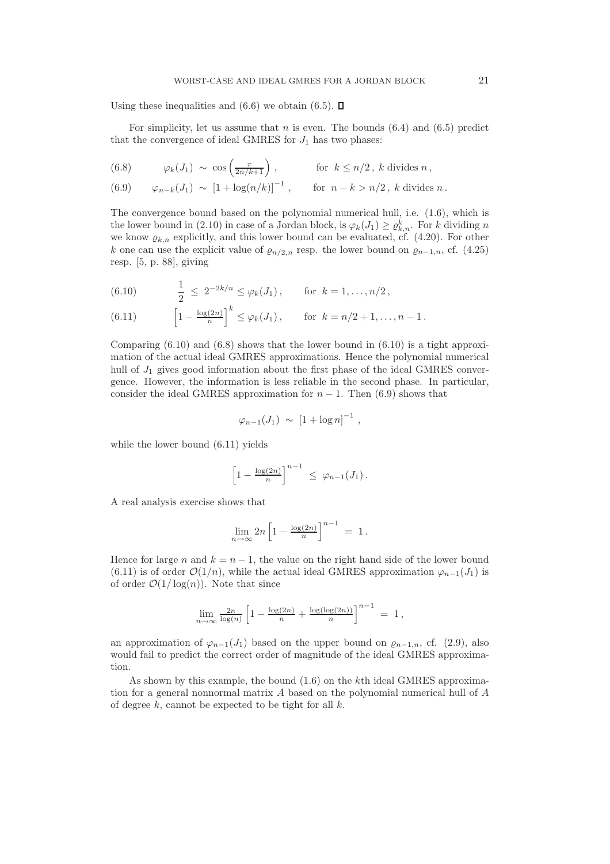Using these inequalities and  $(6.6)$  we obtain  $(6.5)$ .  $\Box$ 

For simplicity, let us assume that  $n$  is even. The bounds  $(6.4)$  and  $(6.5)$  predict that the convergence of ideal GMRES for  $J_1$  has two phases:

(6.8) 
$$
\varphi_k(J_1) \sim \cos\left(\frac{\pi}{2n/k+1}\right), \qquad \text{for } k \leq n/2, \ k \text{ divides } n,
$$

(6.9) 
$$
\varphi_{n-k}(J_1) \sim [1 + \log(n/k)]^{-1}
$$
, for  $n - k > n/2$ , k divides n.

The convergence bound based on the polynomial numerical hull, i.e. (1.6), which is the lower bound in (2.10) in case of a Jordan block, is  $\varphi_k(J_1) \ge \varrho_{k,n}^k$ . For k dividing n we know  $\varrho_{k,n}$  explicitly, and this lower bound can be evaluated, cf. (4.20). For other k one can use the explicit value of  $\varrho_{n/2,n}$  resp. the lower bound on  $\varrho_{n-1,n}$ , cf. (4.25) resp. [5, p. 88], giving

(6.10) 
$$
\frac{1}{2} \leq 2^{-2k/n} \leq \varphi_k(J_1), \quad \text{for } k = 1, ..., n/2,
$$

(6.11) 
$$
\left[1 - \frac{\log(2n)}{n}\right]^k \le \varphi_k(J_1), \quad \text{for } k = n/2 + 1, ..., n - 1.
$$

Comparing  $(6.10)$  and  $(6.8)$  shows that the lower bound in  $(6.10)$  is a tight approximation of the actual ideal GMRES approximations. Hence the polynomial numerical hull of  $J_1$  gives good information about the first phase of the ideal GMRES convergence. However, the information is less reliable in the second phase. In particular, consider the ideal GMRES approximation for  $n - 1$ . Then (6.9) shows that

$$
\varphi_{n-1}(J_1) \sim [1 + \log n]^{-1}
$$
,

while the lower bound (6.11) yields

$$
\left[1-\frac{\log(2n)}{n}\right]^{n-1} \leq \varphi_{n-1}(J_1).
$$

A real analysis exercise shows that

$$
\lim_{n \to \infty} 2n \left[ 1 - \frac{\log(2n)}{n} \right]^{n-1} = 1.
$$

Hence for large n and  $k = n - 1$ , the value on the right hand side of the lower bound (6.11) is of order  $\mathcal{O}(1/n)$ , while the actual ideal GMRES approximation  $\varphi_{n-1}(J_1)$  is of order  $\mathcal{O}(1/\log(n))$ . Note that since

$$
\lim_{n \to \infty} \frac{2n}{\log(n)} \left[ 1 - \frac{\log(2n)}{n} + \frac{\log(\log(2n))}{n} \right]^{n-1} = 1,
$$

an approximation of  $\varphi_{n-1}(J_1)$  based on the upper bound on  $\varrho_{n-1,n}$ , cf. (2.9), also would fail to predict the correct order of magnitude of the ideal GMRES approximation.

As shown by this example, the bound (1.6) on the kth ideal GMRES approximation for a general nonnormal matrix A based on the polynomial numerical hull of A of degree  $k$ , cannot be expected to be tight for all  $k$ .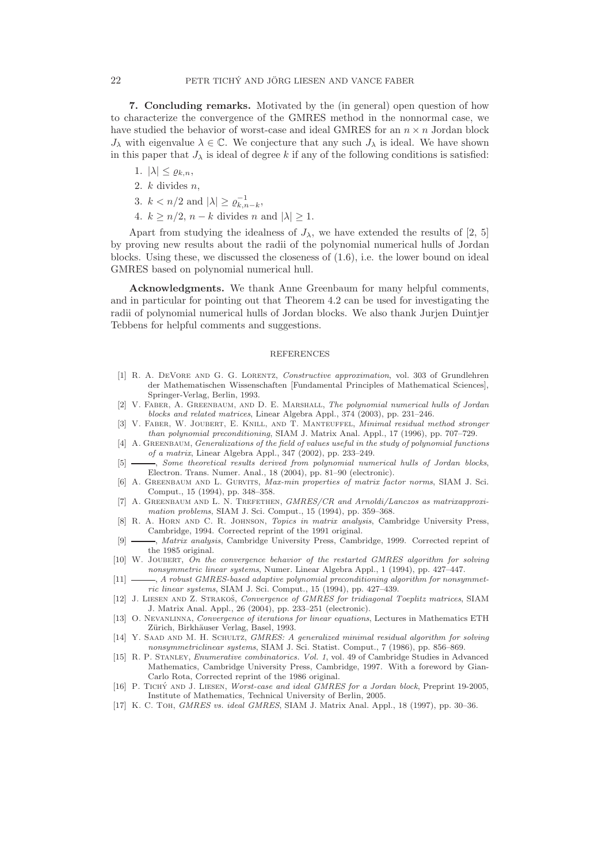7. Concluding remarks. Motivated by the (in general) open question of how to characterize the convergence of the GMRES method in the nonnormal case, we have studied the behavior of worst-case and ideal GMRES for an  $n \times n$  Jordan block  $J_{\lambda}$  with eigenvalue  $\lambda \in \mathbb{C}$ . We conjecture that any such  $J_{\lambda}$  is ideal. We have shown in this paper that  $J_{\lambda}$  is ideal of degree k if any of the following conditions is satisfied:

- 1.  $|\lambda| \leq \varrho_{k,n}$ ,
- 2.  $k$  divides  $n$ ,
- 3.  $k < n/2$  and  $|\lambda| \ge \varrho_{k,n-k}^{-1}$ ,
- 4.  $k \geq n/2$ ,  $n k$  divides n and  $|\lambda| \geq 1$ .

Apart from studying the idealness of  $J_{\lambda}$ , we have extended the results of [2, 5] by proving new results about the radii of the polynomial numerical hulls of Jordan blocks. Using these, we discussed the closeness of  $(1.6)$ , i.e. the lower bound on ideal GMRES based on polynomial numerical hull.

Acknowledgments. We thank Anne Greenbaum for many helpful comments, and in particular for pointing out that Theorem 4.2 can be used for investigating the radii of polynomial numerical hulls of Jordan blocks. We also thank Jurjen Duintjer Tebbens for helpful comments and suggestions.

## REFERENCES

- [1] R. A. DeVore and G. G. Lorentz, Constructive approximation, vol. 303 of Grundlehren der Mathematischen Wissenschaften [Fundamental Principles of Mathematical Sciences], Springer-Verlag, Berlin, 1993.
- [2] V. Faber, A. Greenbaum, and D. E. Marshall, The polynomial numerical hulls of Jordan blocks and related matrices, Linear Algebra Appl., 374 (2003), pp. 231–246.
- [3] V. FABER, W. JOUBERT, E. KNILL, AND T. MANTEUFFEL, Minimal residual method stronger than polynomial preconditioning, SIAM J. Matrix Anal. Appl., 17 (1996), pp. 707–729.
- [4] A. GREENBAUM, Generalizations of the field of values useful in the study of polynomial functions of a matrix, Linear Algebra Appl., 347 (2002), pp. 233–249.
- -, Some theoretical results derived from polynomial numerical hulls of Jordan blocks, Electron. Trans. Numer. Anal., 18 (2004), pp. 81–90 (electronic).
- [6] A. Greenbaum and L. Gurvits, Max-min properties of matrix factor norms, SIAM J. Sci. Comput., 15 (1994), pp. 348–358.
- [7] A. GREENBAUM AND L. N. TREFETHEN, GMRES/CR and Arnoldi/Lanczos as matrixapproximation problems, SIAM J. Sci. Comput., 15 (1994), pp. 359–368.
- [8] R. A. Horn and C. R. Johnson, Topics in matrix analysis, Cambridge University Press, Cambridge, 1994. Corrected reprint of the 1991 original.
- [9]  $\_\_\_\_\$ , Matrix analysis, Cambridge University Press, Cambridge, 1999. Corrected reprint of the 1985 original.
- [10] W. Joubert, On the convergence behavior of the restarted GMRES algorithm for solving nonsymmetric linear systems, Numer. Linear Algebra Appl., 1 (1994), pp. 427–447.
- $[11]$   $\longrightarrow$ , A robust GMRES-based adaptive polynomial preconditioning algorithm for nonsymmetric linear systems, SIAM J. Sci. Comput., 15 (1994), pp. 427–439.
- [12] J. LIESEN AND Z. STRAKOŠ, Convergence of GMRES for tridiagonal Toeplitz matrices, SIAM J. Matrix Anal. Appl., 26 (2004), pp. 233–251 (electronic).
- [13] O. Nevanlinna, Convergence of iterations for linear equations, Lectures in Mathematics ETH Zürich, Birkhäuser Verlag, Basel, 1993.
- [14] Y. SAAD AND M. H. SCHULTZ, GMRES: A generalized minimal residual algorithm for solving nonsymmetriclinear systems, SIAM J. Sci. Statist. Comput., 7 (1986), pp. 856–869.
- [15] R. P. Stanley, Enumerative combinatorics. Vol. 1, vol. 49 of Cambridge Studies in Advanced Mathematics, Cambridge University Press, Cambridge, 1997. With a foreword by Gian-Carlo Rota, Corrected reprint of the 1986 original.
- [16] P. TICHY AND J. LIESEN, Worst-case and ideal GMRES for a Jordan block, Preprint 19-2005, Institute of Mathematics, Technical University of Berlin, 2005.
- [17] K. C. Toh, GMRES vs. ideal GMRES, SIAM J. Matrix Anal. Appl., 18 (1997), pp. 30–36.